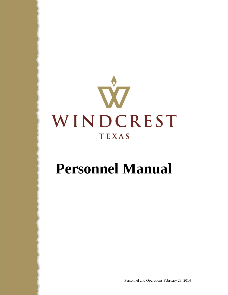

# **Personnel Manual**

Personnel and Operations February 23, 2014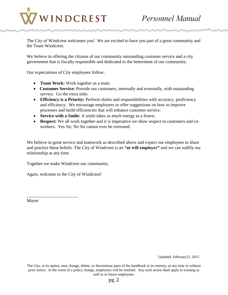# WINDCREST

The City of Windcrest welcomes you! We are excited to have you part of a great community and the Team Windcrest.

We believe in offering the citizens of our community outstanding customer service and a city government that is fiscally responsible and dedicated to the betterment of our community.

Our expectations of City employees follow:

- **Team Work:** Work together as a team.
- Customer Service: Provide our customers, internally and externally, with outstanding service. Go the extra mile.
- **Efficiency is a Priority:** Perform duties and responsibilities with accuracy, proficiency and efficiency. We encourage employees to offer suggestions on how to improve processes and build efficiencies that will enhance customer service.
- **Service with a Smile:** A smile takes as much energy as a frown.
- **Respect:** We all work together and it is imperative we show respect to customers and coworkers. Yes Sir, No Sir cannot ever be overused.

We believe in great service and teamwork as described above and expect our employees to share and practice these beliefs. The City of Windcrest is an **"at will employer"** and we can nullify our relationship at any time.

Together we make Windcrest our community.

Again, welcome to the City of Windcrest!

\_\_\_\_\_\_\_\_\_\_\_\_\_\_\_\_\_\_\_\_\_\_\_

Mayor

Updated: February23, 2015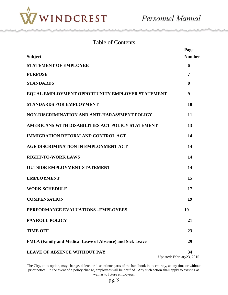

# Table of Contents

|                                                           | Page                            |
|-----------------------------------------------------------|---------------------------------|
| <b>Subject</b>                                            | <b>Number</b>                   |
| <b>STATEMENT OF EMPLOYEE</b>                              | 6                               |
| <b>PURPOSE</b>                                            | 7                               |
| <b>STANDARDS</b>                                          | 8                               |
| EQUAL EMPLOYMENT OPPORTUNITY EMPLOYER STATEMENT           | 9                               |
| <b>STANDARDS FOR EMPLOYMENT</b>                           | 10                              |
| NON-DISCRIMINATION AND ANTI-HARASSMENT POLICY             | 11                              |
| AMERICANS WITH DISABILITIES ACT POLICY STATEMENT          | 13                              |
| <b>IMMIGRATION REFORM AND CONTROL ACT</b>                 | 14                              |
| <b>AGE DISCRIMINATION IN EMPLOYMENT ACT</b>               | 14                              |
| <b>RIGHT-TO-WORK LAWS</b>                                 | 14                              |
| <b>OUTSIDE EMPLOYMENT STATEMENT</b>                       | 14                              |
| <b>EMPLOYMENT</b>                                         | 15                              |
| <b>WORK SCHEDULE</b>                                      | 17                              |
| <b>COMPENSATION</b>                                       | 19                              |
| PERFORMANCE EVALUATIONS -EMPLOYEES                        | 19                              |
| PAYROLL POLICY                                            | 21                              |
| <b>TIME OFF</b>                                           | 23                              |
| FMLA (Family and Medical Leave of Absence) and Sick Leave | 29                              |
| <b>LEAVE OF ABSENCE WITHOUT PAY</b>                       | 34<br>Updated: February23, 2015 |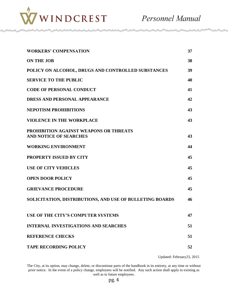

| <b>WORKERS' COMPENSATION</b>                                                   | 37 |
|--------------------------------------------------------------------------------|----|
| <b>ON THE JOB</b>                                                              | 38 |
| POLICY ON ALCOHOL, DRUGS AND CONTROLLED SUBSTANCES                             | 39 |
| <b>SERVICE TO THE PUBLIC</b>                                                   | 40 |
| <b>CODE OF PERSONAL CONDUCT</b>                                                | 41 |
| <b>DRESS AND PERSONAL APPEARANCE</b>                                           | 42 |
| <b>NEPOTISM PROHIBITIONS</b>                                                   | 43 |
| <b>VIOLENCE IN THE WORKPLACE</b>                                               | 43 |
| <b>PROHIBITION AGAINST WEAPONS OR THREATS</b><br><b>AND NOTICE OF SEARCHES</b> | 43 |
| <b>WORKING ENVIRONMENT</b>                                                     | 44 |
| PROPERTY ISSUED BY CITY                                                        | 45 |
| <b>USE OF CITY VEHICLES</b>                                                    | 45 |
| <b>OPEN DOOR POLICY</b>                                                        | 45 |
| <b>GRIEVANCE PROCEDURE</b>                                                     | 45 |
| SOLICITATION, DISTRIBUTIONS, AND USE OF BULLETING BOARDS                       | 46 |
| USE OF THE CITY'S COMPUTER SYSTEMS                                             | 47 |
| <b>INTERNAL INVESTIGATIONS AND SEARCHES</b>                                    | 51 |
| <b>REFERENCE CHECKS</b>                                                        | 51 |
| <b>TAPE RECORDING POLICY</b>                                                   | 52 |

Updated: February23, 2015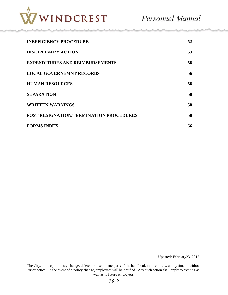

| <b>INEFFICIENCY PROCEDURE</b>                  | 52 |
|------------------------------------------------|----|
| <b>DISCIPLINARY ACTION</b>                     | 53 |
| <b>EXPENDITURES AND REIMBURSEMENTS</b>         | 56 |
| <b>LOCAL GOVERNEMNT RECORDS</b>                | 56 |
| <b>HUMAN RESOURCES</b>                         | 56 |
| <b>SEPARATION</b>                              | 58 |
| <b>WRITTEN WARNINGS</b>                        | 58 |
| <b>POST RESIGNATION/TERMINATION PROCEDURES</b> | 58 |
| <b>FORMS INDEX</b>                             | 66 |

Updated: February23, 2015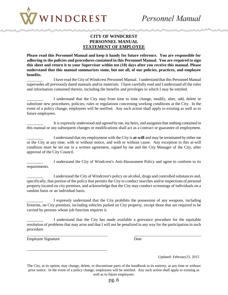

# **CITY OF WINDCREST PERSONNEL MANUAL STATEMENT OF EMPLOYEE**

**Please read this Personnel Manual and keep it handy for future reference. You are responsible for adhering to the policies and procedures contained in this Personnel Manual. You are required to sign this sheet and return it to your Supervisor within ten (10) days after you receive this manual. Please understand that this manual summarizes some, but not all, of our policies, practices, and employee benefits.**

I have read the City of Windcrest Personnel Manual. I understand that this Personnel Manual supersedes all previously dated manuals and/or materials. I have carefully read and I understand all the rules and information contained therein, including the benefits and privileges to which I may be entitled.

I understand that the City may from time to time change, modify, alter, add, delete or substitute new procedures, policies, rules or regulations concerning working conditions at the City. In the event of a policy change, employees will be notified. Any such action shall apply to existing as well as to future employees.

It is expressly understood and agreed by me, my heirs, and assignees that nothing contained in this manual or any subsequent changes or modifications shall act as a contract or guarantee of employment.

\_\_\_\_\_\_\_\_ I understand that my employment with the City is **at-will** and may be terminated by either me or the City at any time, with or without notice, and with or without cause. Any exception to this at-will condition must be set out in a written agreement, signed by me and the City Manager of the City, after approval of the City Council.

I understand the City of Windcrest's Anti-Harassment Policy and agree to conform to its requirements.

\_\_\_\_\_\_\_\_ I understand the City of Windcrest's policy on alcohol, drugs and controlled substances and, specifically, that portion of the policy that permits the City to conduct searches and/or inspections of personal property located on city premises, and acknowledge that the City may conduct screenings of individuals on a random basis or an individual basis.

\_\_\_\_\_\_\_\_ I expressly understand that the City prohibits the possession of any weapons, including firearms, on City premises, including vehicles parked on City property, except those that are required to be carried by persons whose job function requires it.

I understand that the City has made available a grievance procedure for the equitable resolution of problems that may arise and that I will not be penalized in any way for the participation in such procedure.

Employee Signature Date

Updated: February23, 2015

The City, at its option, may change, delete, or discontinue parts of the handbook in its entirety, at any time or without prior notice. In the event of a policy change, employees will be notified. Any such action shall apply to existing as well as to future employees.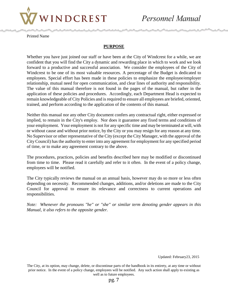

Printed Name

# **PURPOSE**

Whether you have just joined our staff or have been at the City of Windcrest for a while, we are confident that you will find the City a dynamic and rewarding place in which to work and we look forward to a productive and successful association. We consider the employees of the City of Windcrest to be one of its most valuable resources. A percentage of the Budget is dedicated to employees. Special effort has been made in these policies to emphasize the employee/employer relationship, mutual need for open communication, and clear lines of authority and responsibility. The value of this manual therefore is not found in the pages of the manual, but rather in the application of these policies and procedures. Accordingly, each Department Head is expected to remain knowledgeable of City Policies and is required to ensure all employees are briefed, oriented, trained, and perform according to the application of the contents of this manual.

Neither this manual nor any other City document confers any contractual right, either expressed or implied, to remain in the City's employ. Nor does it guarantee any fixed terms and conditions of your employment. Your employment is not for any specific time and may be terminated at will, with or without cause and without prior notice, by the City or you may resign for any reason at any time. No Supervisor or other representative of the City (except the City Manager, with the approval of the City Council) has the authority to enter into any agreement for employment for any specified period of time, or to make any agreement contrary to the above.

The procedures, practices, policies and benefits described here may be modified or discontinued from time to time. Please read it carefully and refer to it often. In the event of a policy change, employees will be notified.

The City typically reviews the manual on an annual basis, however may do so more or less often depending on necessity. Recommended changes, additions, and/or deletions are made to the City Council for approval to ensure its relevance and correctness to current operations and responsibilities.

*Note: Whenever the pronouns "he" or "she" or similar term denoting gender appears in this Manual, it also refers to the opposite gender.*

Updated: February23, 2015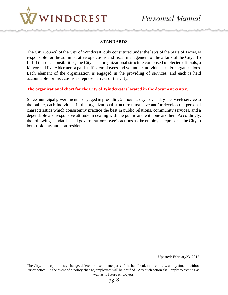

#### **STANDARDS**

The City Council of the City of Windcrest, duly constituted under the laws of the State of Texas, is responsible for the administrative operations and fiscal management of the affairs of the City. To fulfill these responsibilities, the City is an organizational structure composed of elected officials, a Mayor and five Aldermen, a paid staff of employees and volunteer individuals and/or organizations. Each element of the organization is engaged in the providing of services, and each is held accountable for his actions as representatives of the City.

**The organizational chart for the City of Windcrest is located in the document center.**

Since municipal government is engaged in providing 24 hours a day, seven days per week service to the public, each individual in the organizational structure must have and/or develop the personal characteristics which consistently practice the best in public relations, community services, and a dependable and responsive attitude in dealing with the public and with one another. Accordingly, the following standards shall govern the employee's actions as the employee represents the City to both residents and non-residents.

Updated: February23, 2015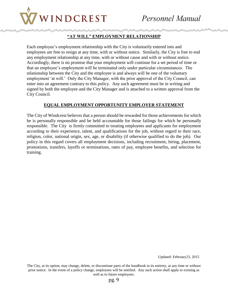

# **"AT WILL" EMPLOYMENT RELATIONSHIP**

Each employee's employment relationship with the City is voluntarily entered into and employees are free to resign at any time, with or without notice. Similarly, the City is free to end any employment relationship at any time, with or without cause and with or without notice. Accordingly, there is no promise that your employment will continue for a set period of time or that an employee's employment will be terminated only under particular circumstances. The relationship between the City and the employee is and always will be one of the voluntary employment 'at will.' Only the City Manager, with the prior approval of the City Council, can enter into an agreement contrary to this policy. Any such agreement must be in writing and signed by both the employee and the City Manager and is attached to a written approval from the City Council.

#### **EQUAL EMPLOYMENT OPPORTUNITY EMPLOYER STATEMENT**

The City of Windcrest believes that a person should be rewarded for those achievements for which he is personally responsible and be held accountable for those failings for which he personally responsible. The City is firmly committed to treating employees and applicants for employment according to their experience, talent, and qualifications for the job, without regard to their race, religion, color, national origin, sex, age, or disability (if otherwise qualified to do the job). Our policy in this regard covers all employment decisions, including recruitment, hiring, placement, promotions, transfers, layoffs or terminations, rates of pay, employee benefits, and selection for training.

Updated: February23, 2015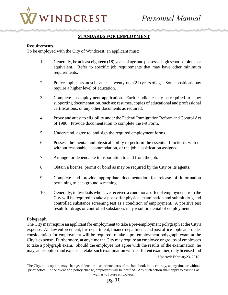

# **STANDARDS FOR EMPLOYMENT**

#### **Requirements**

To be employed with the City of Windcrest, an applicant must:

- 1. Generally, be at least eighteen (18) years of age and possess a high school diploma or equivalent. Refer to specific job requirements that may have other minimum requirements.
- 2. Police applicants must be at least twenty-one (21) years of age. Some positions may require a higher level of education.
- 3. Complete an employment application. Each candidate may be required to show supporting documentation, such as: resumes, copies of educational and professional certifications, or any other documents as required.
- 4. Prove and attest to eligibility under the Federal Immigration Reform and Control Act of 1986. Provide documentation to complete the I-9 Form.
- 5. Understand, agree to, and sign the required employment forms.
- 6. Possess the mental and physical ability to perform the essential functions, with or without reasonable accommodation, of the job classification assigned.
- 7. Arrange for dependable transportation to and from the job.
- 8. Obtain a license, permit or bond as may be required by the City or its agents.
- 9. Complete and provide appropriate documentation for release of information pertaining to background screening.
- 10. Generally, individuals who have received a conditional offer of employment from the City will be required to take a post-offer physical examination and submit drug and controlled substance screening test as a condition of employment. A positive test result for drugs or controlled substances may result in denial of employment.

# **Polygraph**

The City may require an applicant for employment to take a pre-employment polygraph at the City's expense. All law enforcement, fire department, finance department, and post office applicants under consideration for employment will be required to take a pre-employment polygraph exam at the City's expense. Furthermore, at any time the City may require an employee or groups of employees to take a polygraph exam. Should the employee not agree with the results of the examination, he may, at his option and expense, retake such examination with a different examiner, duly licensed and

Updated: February23, 2015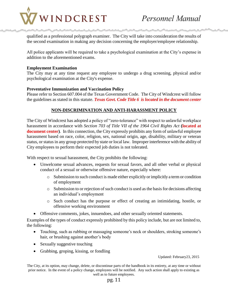

qualified as a professional polygraph examiner. The City will take into consideration the results of the second examination in making any decision concerning the employer/employee relationship.

All police applicants will be required to take a psychological examination at the City's expense in addition to the aforementioned exams.

#### **Employment Examination**

The City may at any time request any employee to undergo a drug screening, physical and/or psychological examination at the City's expense.

#### **Preventative Immunization and Vaccination Policy**

Please refer to Section 607.004 of the Texas Government Code. The City of Windcrest will follow the guidelines as stated in this statute. *Texas Govt. Code Title 6 is located in the document center*

#### **NON-DISCRIMINATION AND ANTI-HARASSMENT POLICY**

The City of Windcrest has adopted a policy of "zero-tolerance" with respect to unlawful workplace harassment in accordance with *Section 703 of Title VII of the 1964 Civil Rights Act* **(located at document center)***.* In this connection, the City expressly prohibits any form of unlawful employee harassment based on race, color, religion, sex, national origin, age, disability, military or veteran status, or status in any group protected by state or local law. Improper interference with the ability of City employees to perform their expected job duties is not tolerated.

With respect to sexual harassment, the City prohibits the following:

- Unwelcome sexual advances, requests for sexual favors, and all other verbal or physical conduct of a sexual or otherwise offensive nature, especially where:
	- $\circ$  Submission to such conduct is made either explicitly or implicitly a term or condition of employment
	- $\circ$  Submission to or rejection of such conduct is used as the basis for decisions affecting an individual's employment
	- o Such conduct has the purpose or effect of creating an intimidating, hostile, or offensive working environment
- Offensive comments, jokes, innuendoes, and other sexually oriented statements.

Examples of the types of conduct expressly prohibited by this policy include, but are not limited to, the following:

- Touching, such as rubbing or massaging someone's neck or shoulders, stroking someone's hair, or brushing against another's body
- Sexually suggestive touching
- Grabbing, groping, kissing, or fondling

Updated: February23, 2015

The City, at its option, may change, delete, or discontinue parts of the handbook in its entirety, at any time or without prior notice. In the event of a policy change, employees will be notified. Any such action shall apply to existing as well as to future employees.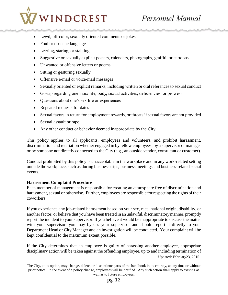# WINDCREST

- Lewd, off-color, sexually oriented comments or jokes
- Foul or obscene language
- Leering, staring, or stalking
- Suggestive or sexually explicit posters, calendars, photographs, graffiti, or cartoons
- Unwanted or offensive letters or poems
- Sitting or gesturing sexually
- Offensive e-mail or voice-mail messages
- Sexually oriented or explicit remarks, including written or oral references to sexual conduct
- Gossip regarding one's sex life, body, sexual activities, deficiencies, or prowess
- Questions about one's sex life or experiences
- Repeated requests for dates
- Sexual favors in return for employment rewards, or threats if sexual favors are not provided
- Sexual assault or rape
- Any other conduct or behavior deemed inappropriate by the City

This policy applies to all applicants, employees and volunteers, and prohibit harassment, discrimination and retaliation whether engaged in by fellow employees, by a supervisor or manager or by someone not directly connected to the City (e.g., an outside vendor, consultant or customer).

Conduct prohibited by this policy is unacceptable in the workplace and in any work-related setting outside the workplace, such as during business trips, business meetings and business-related social events.

# **Harassment Complaint Procedure**

Each member of management is responsible for creating an atmosphere free of discrimination and harassment, sexual or otherwise. Further, employees are responsible for respecting the rights of their coworkers.

If you experience any job-related harassment based on your sex, race, national origin, disability, or another factor, or believe that you have been treated in an unlawful, discriminatory manner, promptly report the incident to your supervisor. If you believe it would be inappropriate to discuss the matter with your supervisor, you may bypass your supervisor and should report it directly to your Department Head or City Manager and an investigation will be conducted. Your complaint will be kept confidential to the maximum extent possible.

 Updated: February23, 2015 If the City determines that an employee is guilty of harassing another employee, appropriate disciplinary action will be taken against the offending employee, up to and including termination of

The City, at its option, may change, delete, or discontinue parts of the handbook in its entirety, at any time or without prior notice. In the event of a policy change, employees will be notified. Any such action shall apply to existing as well as to future employees.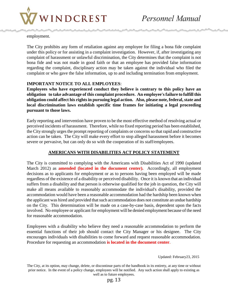

employment.

The City prohibits any form of retaliation against any employee for filing a bona fide complaint under this policy or for assisting in a complaint investigation. However, if, after investigating any complaint of harassment or unlawful discrimination, the City determines that the complaint is not bona fide and was not made in good faith or that an employee has provided false information regarding the complaint, disciplinary action may be taken against the individual who filed the complaint or who gave the false information, up to and including termination from employment.

#### **IMPORTANT NOTICE TO ALL EMPLOYEES**:

**Employees who have experienced conduct they believe is contrary to this policy have an obligation to take advantage of this complaint procedure. An employee's failure to fulfill this obligation could affect his rights in pursuing legal action. Also, please note, federal, state and local discrimination laws establish specific time frames for initiating a legal proceeding pursuant to those laws.** 

Early reporting and intervention have proven to be the most effective method of resolving actual or perceived incidents of harassment. Therefore, while no fixed reporting period has been established, the City strongly urges the prompt reporting of complaints or concerns so that rapid and constructive action can be taken. The City will make every effort to stop alleged harassment before it becomes severe or pervasive, but can only do so with the cooperation of its staff/employees.

# **AMERICANS WITH DISABILITIES ACT POLICY STATEMENT**

The City is committed to complying with the Americans with Disabilities Act of 1990 (updated March 2012) as **amended (located in the document center).** Accordingly, all employment decisions as to applicants for employment or as to persons having been employed will be made regardless of the existence of a disability or perceived disability. Once it is known that an individual suffers from a disability and that person is otherwise qualified for the job in question, the City will make all means available to reasonably accommodate the individual's disability, provided the accommodation would have been a reasonable accommodation had the hardship been known when the applicant was hired and provided that such accommodation does not constitute an undue hardship on the City. This determination will be made on a case-by-case basis, dependent upon the facts involved. No employee or applicant for employment will be denied employment because of the need for reasonable accommodation.

Employees with a disability who believe they need a reasonable accommodation to perform the essential functions of their job should contact the City Manager or his designee. The City encourages individuals with disabilities to come forward and request reasonable accommodation. Procedure for requesting an accommodation **is located in the document center**.

Updated: February23, 2015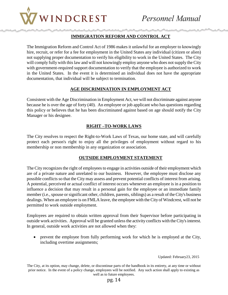

# **IMMIGRATION REFORM AND CONTROL ACT**

The Immigration Reform and Control Act of 1986 makes it unlawful for an employer to knowingly hire, recruit, or refer for a fee for employment in the United States any individual (citizen or alien) not supplying proper documentation to verify his eligibility to work in the United States. The City will comply fully with this law and will not knowingly employ anyone who does not supply the City with government-required support documentation to verify that the employee is authorized to work in the United States. In the event it is determined an individual does not have the appropriate documentation, that individual will be subject to termination.

# **AGE DISCRIMINATION IN EMPLOYMENT ACT**

Consistent with the Age Discrimination in Employment Act, we will not discriminate against anyone because he is over the age of forty (40). An employee or job applicant who has questions regarding this policy or believes that he has been discriminated against based on age should notify the City Manager or his designee.

# **RIGHT –TO-WORK LAWS**

The City resolves to respect the Right-to-Work Laws of Texas, our home state, and will carefully protect each person's right to enjoy all the privileges of employment without regard to his membership or non membership in any organization or association.

# **OUTSIDE EMPLOYMENT STATEMENT**

The City recognizes the right of employees to engage in activities outside of their employment which are of a private nature and unrelated to our business. However, the employee must disclose any possible conflicts so that the City may assess and prevent potential conflicts of interest from arising. A potential, perceived or actual conflict of interest occurs whenever an employee is in a position to influence a decision that may result in a personal gain for the employee or an immediate family member (i.e., spouse or significant other, children, parents, siblings) as a result of the City's business dealings. When an employee is on FMLA leave, the employee with the City of Windcrest, will not be permitted to work outside employment.

Employees are required to obtain written approval from their Supervisor before participating in outside work activities. Approval will be granted unless the activity conflicts with the City's interest. In general, outside work activities are not allowed when they:

 prevent the employee from fully performing work for which he is employed at the City, including overtime assignments;

Updated: February23, 2015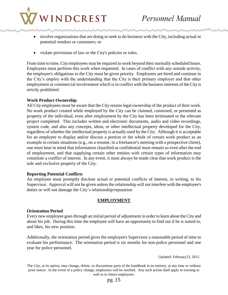

- involve organizations that are doing or seek to do business with the City, including actual or potential vendors or customers; or
- violate provisions of law or the City's policies or rules.

From time to time, City employees may be required to work beyond their normally scheduled hours. Employees must perform this work when requested. In cases of conflict with any outside activity, the employee's obligations to the City must be given priority. Employees are hired and continue in the City's employ with the understanding that the City is their primary employer and that other employment or commercial involvement which is in conflict with the business interests of the City is strictly prohibited.

#### **Work Product Ownership**

All City employees must be aware that the City retains legal ownership of the product of their work. No work product created while employed by the City can be claimed, construed, or presented as property of the individual, even after employment by the City has been terminated or the relevant project completed. This includes written and electronic documents, audio and video recordings, system code, and also any concepts, ideas, or other intellectual property developed for the City, regardless of whether the intellectual property is actually used by the City. Although it is acceptable for an employee to display and/or discuss a portion or the whole of certain work product as an example in certain situations (e.g., on a resume, in a freelancer's meeting with a prospective client), one must bear in mind that information classified as confidential must remain so even after the end of employment, and that supplying certain other entities with certain types of information may constitute a conflict of interest. In any event, it must always be made clear that work product is the sole and exclusive property of the City.

#### **Reporting Potential Conflicts**

An employee must promptly disclose actual or potential conflicts of interest, in writing, to his Supervisor. Approval will not be given unless the relationship will not interfere with the employee's duties or will not damage the City's relationship/reputation

#### **EMPLOYMENT**

#### **Orientation Period**

Every new employee goes through an initial period of adjustment in order to learn about the City and about his job. During this time the employee will have an opportunity to find out if he is suited to, and likes, his new position.

Additionally, the orientation period gives the employee's Supervisor a reasonable period of time to evaluate his performance. The orientation period is six months for non-police personnel and one year for police personnel.

Updated: February23, 2015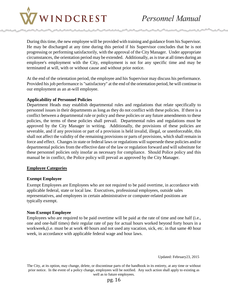

During this time, the new employee will be provided with training and guidance from his Supervisor. He may be discharged at any time during this period if his Supervisor concludes that he is not progressing or performing satisfactorily, with the approval of the City Manager. Under appropriate circumstances, the orientation period may be extended. Additionally, as is true at all times during an employee's employment with the City, employment is not for any specific time and may be terminated at will, with or without cause and without prior notice.

At the end of the orientation period, the employee and his Supervisor may discuss his performance. Provided his job performance is "satisfactory" at the end of the orientation period, he will continue in our employment as an at-will employee.

#### **Applicability of Personnel Policies**

Department Heads may establish departmental rules and regulations that relate specifically to personnel issues in their departments as long as they do not conflict with these policies. If there is a conflict between a departmental rule or policy and these policies or any future amendments to these policies, the terms of these policies shall prevail. Departmental rules and regulations must be approved by the City Manager in writing. Additionally, the provisions of these policies are severable, and if any provision or part of a provision is held invalid, illegal, or unenforceable, this shall not affect the validity of the remaining provisions or parts of provisions, which shall remain in force and effect. Changes in state or federal laws or regulations will supersede these policies and/or departmental policies from the effective date of the law or regulation forward and will substitute for these personnel policies only insofar as necessary for compliance. Should Police policy and this manual be in conflict, the Police policy will prevail as approved by the City Manager.

#### **Employee Categories**

#### **Exempt Employee**

Exempt Employees are Employees who are not required to be paid overtime, in accordance with applicable federal, state or local law. Executives, professional employees, outside sales representatives, and employees in certain administrative or computer-related positions are typically exempt.

#### **Non-Exempt Employee**

Employees who are required to be paid overtime will be paid at the rate of time and one half (i.e., one and one-half times) their regular rate of pay for actual hours worked beyond forty hours in a workweek,(i.e. must be at work 40 hours and not used any vacation, sick, etc. in that same 40 hour week, in accordance with applicable federal wage and hour laws.

Updated: February23, 2015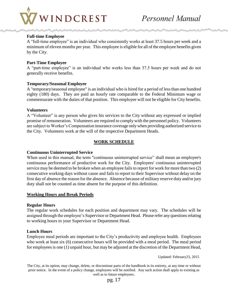

## **Full-time Employee**

A "full-time employee" is an individual who consistently works at least 37.5 hours per week and a minimum of eleven months per year. This employee is eligible for all of the employee benefits given by the City.

#### **Part-Time Employee**

A "part-time employee" is an individual who works less than 37.5 hours per week and do not generally receive benefits.

#### **Temporary/Seasonal Employee**

A "temporary/seasonal employee" is an individual who is hired for a period of less than one hundred eighty (180) days. They are paid an hourly rate comparable to the Federal Minimum wage or commensurate with the duties of that position. This employee will not be eligible for City benefits.

#### **Volunteers**

A "Volunteer" is any person who gives his services to the City without any expressed or implied promise of remuneration. Volunteers are required to comply with the personnel policy. Volunteers are subject to Worker's Compensation insurance coverage only when providing authorized service to the City. Volunteers work at the will of the respective Department Heads.

#### **WORK SCHEDULE**

#### **Continuous Uninterrupted Service**

When used in this manual, the term "continuous uninterrupted service" shall mean an employee's continuous performance of productive work for the City. Employees' continuous uninterrupted service may be deemed to be broken when an employee fails to report for work for more than two (2) consecutive working days without cause and fails to report to their Supervisor without delay on the first day of absence the reason for the absence. Absence because of military reserve duty and/or jury duty shall not be counted as time absent for the purpose of this definition.

#### **Working Hours and Break Periods**

#### **Regular Hours**

The regular work schedules for each position and department may vary. The schedules will be assigned through the employee's Supervisor or Department Head. Please refer any questions relating to working hours to your Supervisor or Department Head.

#### **Lunch Hours**

Employee meal periods are important to the City's productivity and employee health. Employees who work at least six (6) consecutive hours will be provided with a meal period. The meal period for employees is one (1) unpaid hour, but may be adjusted at the discretion of the Department Head,

Updated: February23, 2015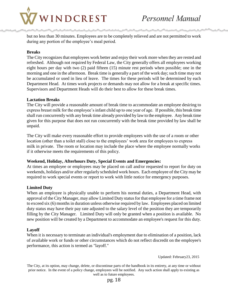

but no less than 30 minutes. Employees are to be completely relieved and are not permitted to work during any portion of the employee's meal period.

#### **Breaks**

The City recognizes that employees work better and enjoy their work more when they are rested and refreshed. Although not required by Federal Law, the City generally offers all employees working eight hours per day with two (2) paid fifteen (15) minute rest periods when possible; one in the morning and one in the afternoon. Break time is generally a part of the work day; such time may not be accumulated or used in lieu of leave. The times for these periods will be determined by each Department Head. At times work projects or demands may not allow for a break at specific times. Supervisors and Department Heads will do their best to allow for these break times.

#### **Lactation Breaks**

The City will provide a reasonable amount of break time to accommodate an employee desiring to express breast milk for the employee's infant child up to one year of age. If possible, this break time shall run concurrently with any break time already provided by law to the employee. Any break time given for this purpose that does not run concurrently with the break time provided by law shall be unpaid.

The City will make every reasonable effort to provide employees with the use of a room or other location (other than a toilet stall) close to the employees' work area for employees to express milk in private. The room or location may include the place where the employee normally works if it otherwise meets the requirements of this policy.

#### **Weekend, Holiday, Afterhours Duty, Special Events and Emergencies:**

At times an employee or employees may be placed on call and/or requested to report for duty on weekends, holidays and/or after regularly scheduled work hours. Each employee of the City may be required to work special events or report to work with little notice for emergency purposes.

#### **Limited Duty**

When an employee is physically unable to perform his normal duties, a Department Head, with approval of the City Manager, may allow Limited Duty status for that employee for a time frame not to exceed six (6) months in duration unless otherwise required by law. Employees placed on limited duty status may have their pay rate adjusted to the salary level of the position they are temporarily filling by the City Manager. Limited Duty will only be granted when a position is available. No new position will be created by a Department to accommodate an employee's request for this duty.

#### **Layoff**

When it is necessary to terminate an individual's employment due to elimination of a position, lack of available work or funds or other circumstances which do not reflect discredit on the employee's performance, this action is termed as "layoff."

Updated: February23, 2015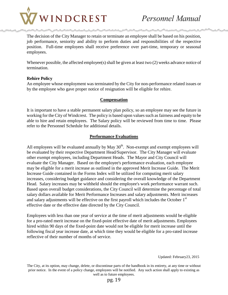

The decision of the City Manager to retain or terminate an employee shall be based on his position, job performance, seniority and ability to perform duties and responsibilities of the respective position. Full-time employees shall receive preference over part-time, temporary or seasonal employees.

Whenever possible, the affected employee(s) shall be given at least two  $(2)$  weeks advance notice of termination.

#### **Rehire Policy**

An employee whose employment was terminated by the City for non-performance related issues or by the employee who gave proper notice of resignation will be eligible for rehire.

#### **Compensation**

It is important to have a stable permanent salary plan policy, so an employee may see the future in working for the City of Windcrest. The policy is based upon values such as fairness and equity to be able to hire and retain employees. The Salary policy will be reviewed from time to time. Please refer to the Personnel Schedule for additional details.

#### **Performance Evaluations**

All employees will be evaluated annually by May  $30<sup>th</sup>$ . Non-exempt and exempt employees will be evaluated by their respective Department Head/Supervisor. The City Manager will evaluate other exempt employees, including Department Heads. The Mayor and City Council will evaluate the City Manager. Based on the employee's performance evaluation, each employee may be eligible for a merit increase as outlined in the approved Merit Increase Guide. The Merit Increase Guide contained in the Forms Index will be utilized for computing merit salary increases, considering budget guidance and considering the overall knowledge of the Department Head. Salary increases may be withheld should the employee's work performance warrant such. Based upon overall budget considerations, the City Council will determine the percentage of total salary dollars available for Merit Performance Increases and salary adjustments. Merit increases and salary adjustments will be effective on the first payroll which includes the October 1<sup>st</sup> effective date or the effective date directed by the City Council.

Employees with less than one year of service at the time of merit adjustments would be eligible for a pro-rated merit increase on the fixed-point effective date of merit adjustments. Employees hired within 90 days of the fixed-point date would not be eligible for merit increase until the following fiscal year increase date, at which time they would be eligible for a pro-rated increase reflective of their number of months of service.

Updated: February23, 2015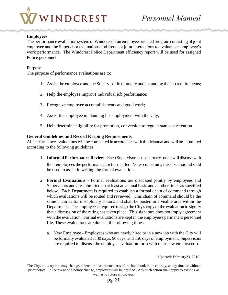

# **Employees**

The performance evaluation system of Windcrest is an employee oriented program consisting of joint employee and the Supervisor evaluations and frequent joint interactions to evaluate an employee's work performance. The Windcrest Police Department efficiency report will be used for assigned Police personnel.

#### Purpose

The purpose of performance evaluations are to:

- 1. Assist the employee and the Supervisor in mutually understanding the job requirements;
- 2. Help the employee improve individual job performance;
- 3. Recognize employee accomplishments and good work;
- 4. Assist the employee in planning his employment with the City;
- 5. Help determine eligibility for promotion, conversion to regular status or retention.

#### **General Guidelines and Record Keeping Requirements**

All performance evaluations will be completed in accordance with this Manual and will be submitted according to the following guidelines:

- 1. **Informal Performance Review** Each Supervisor, on a quarterly basis, will discuss with their employees the performance for the quarter. Notes concerning this discussion should be used to assist in writing the formal evaluations.
- 2. **Formal Evaluations** Formal evaluations are discussed jointly by employees and Supervisors and are submitted on at least an annual basis and at other times as specified below. Each Department is required to establish a formal chain of command through which evaluations will be routed and reviewed. This chain of command should be the same chain as for disciplinary actions and shall be posted in a visible area within the Department. The employee is required to sign the City's copy of the evaluation to signify that a discussion of the rating has taken place. This signature does not imply agreement with the evaluation. Formal evaluations are kept in the employee's permanent personnel file. These evaluations are done at the following times.
	- a. New Employee Employees who are newly hired or in a new job with the City will be formally evaluated at 30 days, 90 days, and 150 days of employment. Supervisors are required to discuss the employee evaluation form with their new employee(s).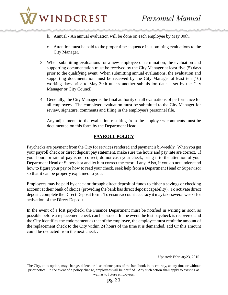

- b. Annual An annual evaluation will be done on each employee by May 30th.
- c. Attention must be paid to the proper time sequence in submitting evaluations to the City Manager.
- 3. When submitting evaluations for a new employee or termination, the evaluation and supporting documentation must be received by the City Manager at least five (5) days prior to the qualifying event. When submitting annual evaluations, the evaluation and supporting documentation must be received by the City Manager at least ten (10) working days prior to May 30th unless another submission date is set by the City Manager or City Council.
- 4. Generally, the City Manager is the final authority on all evaluations of performance for all employees. The completed evaluation must be submitted to the City Manager for review, signature, comments and filing in the employee's personnel file.

Any adjustments to the evaluation resulting from the employee's comments must be documented on this form by the Department Head.

# **PAYROLL POLICY**

Paychecks are payment from the City for services rendered and payment is bi-weekly. When you get your payroll check or direct deposit pay statement, make sure the hours and pay rate are correct. If your hours or rate of pay is not correct, do not cash your check, bring it to the attention of your Department Head or Supervisor and let him correct the error, if any. Also, if you do not understand how to figure your pay or how to read your check, seek help from a Department Head or Supervisor so that it can be properly explained to you.

Employees may be paid by check or through direct deposit of funds to either a savings or checking account at their bank of choice (providing the bank has direct deposit capability). To activate direct deposit, complete the Direct Deposit form. To ensure account accuracy it may take several weeks for activation of the Direct Deposit.

In the event of a lost paycheck, the Finance Department must be notified in writing as soon as possible before a replacement check can be issued. In the event the lost paycheck is recovered and the City identifies the endorsement as that of the employee, the employee must remit the amount of the replacement check to the City within 24 hours of the time it is demanded. add Or this amount could be deducted from the next check .

Updated: February23, 2015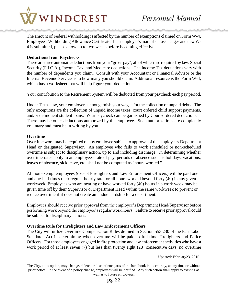

The amount of Federal withholding is affected by the number of exemptions claimed on Form W-4, Employee's Withholding Allowance Certificate. If an employee's marital status changes and new W-4 is submitted, please allow up to two weeks before becoming effective.

#### **Deductions from Paychecks**

There are three automatic deductions from your "gross pay", all of which are required by law: Social Security (F.I.C.A.), Income Tax, and Medicare deductions. The Income Tax deductions vary with the number of dependents you claim. Consult with your Accountant or Financial Advisor or the Internal Revenue Service as to how many you should claim. Additional resource is the Form W-4, which has a worksheet that will help figure your deductions.

Your contribution to the Retirement System will be deducted from your paycheck each pay period.

Under Texas law, your employer cannot garnish your wages for the collection of unpaid debts. The only exceptions are the collection of unpaid income taxes, court ordered child support payments, and/or delinquent student loans. Your paycheck can be garnished by Court-ordered deductions. There may be other deductions authorized by the employee. Such authorizations are completely voluntary and must be in writing by you.

#### **Overtime**

Overtime work may be required of any employee subject to approval of the employee's Department Head or designated Supervisor. An employee who fails to work scheduled or non-scheduled overtime is subject to disciplinary action, up to and including discharge. In determining whether overtime rates apply to an employee's rate of pay, periods of absence such as holidays, vacations, leaves of absence, sick leave, etc. shall not be computed as "hours worked."

All non exempt employees (except Firefighters and Law Enforcement Officers) will be paid one and one-half times their regular hourly rate for all hours worked beyond forty (40) in any given workweek. Employees who are nearing or have worked forty (40) hours in a work week may be given time off by their Supervisor or Department Head within the same workweek to prevent or reduce overtime if it does not create an undue hardship for a department.

Employees should receive prior approval from the employee's Department Head/Supervisor before performing work beyond the employee's regular work hours. Failure to receive prior approval could be subject to disciplinary actions.

#### **Overtime Rule for Firefighters and Law Enforcement Officers**

The City will utilize Overtime Compensation Rules defined in Section 553.230 of the Fair Labor Standards Act in determining when overtime will be paid to full-time Firefighters and Police Officers. For those employees engaged in fire protection and law enforcement activities who have a work period of at least seven (7) but less than twenty eight (28) consecutive days, no overtime

Updated: February23, 2015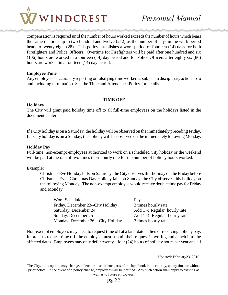

compensation is required until the number of hours worked exceeds the number of hours which bears the same relationship to two hundred and twelve (212) as the number of days in the work period bears to twenty eight (28). This policy establishes a work period of fourteen (14) days for both Firefighters and Police Officers. Overtime for Firefighters will be paid after one hundred and six (106) hours are worked in a fourteen (14) day period and for Police Officers after eighty six (86) hours are worked in a fourteen (14) day period.

#### **Employee Time**

Any employee inaccurately reporting or falsifying time worked is subject to disciplinary action up to and including termination. See the Time and Attendance Policy for details.

#### **TIME OFF**

#### **Holidays**

The City will grant paid holiday time off to all full-time employees on the holidays listed in the document center:

If a City holiday is on a Saturday, the holiday will be observed on the immediately preceding Friday. If a City holiday is on a Sunday, the holiday will be observed on the immediately following Monday.

#### **Holiday Pay**

Full-time, non-exempt employees authorized to work on a scheduled City holiday or the weekend will be paid at the rate of two times their hourly rate for the number of holiday hours worked.

Example:

Christmas Eve Holiday falls on Saturday, the City observes this holiday on the Friday before Christmas Eve. Christmas Day Holiday falls on Sunday, the City observes this holiday on the following Monday. The non-exempt employee would receive double time pay for Friday and Monday.

| Work Schedule                     | <u>Pay</u>                             |
|-----------------------------------|----------------------------------------|
| Friday, December 23--City Holiday | 2 times hourly rate                    |
| Saturday, December 24             | Add $1\frac{1}{2}$ Regular hourly rate |
| Sunday, December 25               | Add $1\frac{1}{2}$ Regular hourly rate |
| Monday, December 26—City Holiday  | 2 times hourly rate                    |

Non-exempt employees may elect to request time off at a later date in lieu of receiving holiday pay. In order to request time off, the employee must submit their request in writing and attach it to the affected dates. Employees may only defer twenty – four (24) hours of holiday hours per year and all

Updated: February23, 2015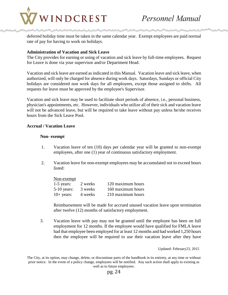

deferred holiday time must be taken in the same calendar year. Exempt employees are paid normal rate of pay for having to work on holidays.

#### **Administration of Vacation and Sick Leave**

The City provides for earning or using of vacation and sick leave by full-time employees. Request for Leave is done via your supervisor and/or Department Head.

Vacation and sick leave are earned as indicated in this Manual. Vacation leave and sick leave, when authorized, will only be charged for absence during work days. Saturdays, Sundays or official City holidays are considered non work days for all employees, except those assigned to shifts. All requests for leave must be approved by the employee's Supervisor.

Vacation and sick leave may be used to facilitate short periods of absence, i.e., personal business, physician's appointments, etc. However, individuals who utilize all of their sick and vacation leave will not be advanced leave, but will be required to take leave without pay unless he/she receives hours from the Sick Leave Pool.

#### **Accrual / Vacation Leave**

#### **Non- exempt**

- 1. Vacation leave of ten (10) days per calendar year will be granted to non-exempt employees, after one (1) year of continuous satisfactory employment.
- 2. Vacation leave for non-exempt employees may be accumulated not to exceed hours listed:

| Non-exempt    |         |                   |
|---------------|---------|-------------------|
| $1-5$ years:  | 2 weeks | 120 maximum hours |
| $5-10$ years: | 3 weeks | 160 maximum hours |
| $10+$ years:  | 4 weeks | 210 maximum hours |

Reimbursement will be made for accrued unused vacation leave upon termination after twelve (12) months of satisfactory employment.

3. Vacation leave with pay may not be granted until the employee has been on full employment for 12 months. If the employee would have qualified for FMLA leave had that employee been employed for at least 12 months and had worked 1,250 hours then the employee will be required to use their vacation leave after they have

Updated: February23, 2015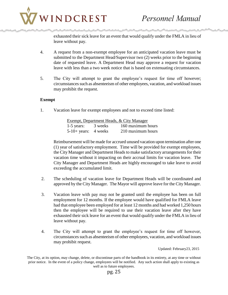

exhausted their sick leave for an event that would qualify under the FMLA in lieu of leave without pay.

- 4. A request from a non-exempt employee for an anticipated vacation leave must be submitted to the Department Head/Supervisor two (2) weeks prior to the beginning date of requested leave. A Department Head may approve a request for vacation leave with less than a two week notice that is based on extenuating circumstances.
- 5. The City will attempt to grant the employee's request for time off however; circumstances such as absenteeism of other employees, vacation, and workload issues may prohibit the request.

#### **Exempt**

1. Vacation leave for exempt employees and not to exceed time listed:

| Exempt, Department Heads, & City Manager |         |                   |
|------------------------------------------|---------|-------------------|
| $1-5$ years:                             | 3 weeks | 160 maximum hours |
| $5-10+ \text{ years:}$ 4 weeks           |         | 210 maximum hours |

Reimbursement will be made for accrued unused vacation upon termination after one (1) year of satisfactory employment. Time will be provided for exempt employees, the City Manager and Department Heads to make satisfactory arrangements for their vacation time without it impacting on their accrual limits for vacation leave. The City Manager and Department Heads are highly encouraged to take leave to avoid exceeding the accumulated limit.

- 2. The scheduling of vacation leave for Department Heads will be coordinated and approved by the City Manager. The Mayor will approve leave for the City Manager.
- 3. Vacation leave with pay may not be granted until the employee has been on full employment for 12 months. If the employee would have qualified for FMLA leave had that employee been employed for at least 12 months and had worked 1,250 hours then the employee will be required to use their vacation leave after they have exhausted their sick leave for an event that would qualify under the FMLA in lieu of leave without pay.
- 4. The City will attempt to grant the employee's request for time off however, circumstances such as absenteeism of other employees, vacation, and workload issues may prohibit request.

Updated: February23, 2015

The City, at its option, may change, delete, or discontinue parts of the handbook in its entirety, at any time or without prior notice. In the event of a policy change, employees will be notified. Any such action shall apply to existing as well as to future employees.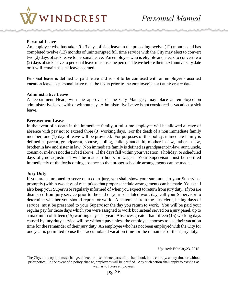

#### **Personal Leave**

An employee who has taken 0 - 3 days of sick leave in the preceding twelve (12) months and has completed twelve (12) months of uninterrupted full time service with the City may elect to convert two (2) days of sick leave to personal leave. An employee who is eligible and elects to convert two (2) days of sick leave to personal leave must use the personal leave before their next anniversary date or it will remain as sick leave accrued.

Personal leave is defined as paid leave and is not to be confused with an employee's accrued vacation leave as personal leave must be taken prior to the employee's next anniversary date.

#### **Administrative Leave**

A Department Head, with the approval of the City Manager, may place an employee on administrative leave with or without pay. Administrative Leave is not considered as vacation or sick leave.

#### **Bereavement Leave**

In the event of a death in the immediate family, a full-time employee will be allowed a leave of absence with pay not to exceed three (3) working days. For the death of a non immediate family member, one (1) day of leave will be provided. For purposes of this policy, immediate family is defined as parent, grandparent, spouse, sibling, child, grandchild, mother in law, father in law, brother in law and sister in law. Non immediate family is defined as grandparent-in-law, aunt, uncle, cousin or in-laws not described above. If the days fall within your vacation, a holiday, or scheduled days off, no adjustment will be made to hours or wages. Your Supervisor must be notified immediately of the forthcoming absence so that proper schedule arrangements can be made.

#### **Jury Duty**

If you are summoned to serve on a court jury, you shall show your summons to your Supervisor promptly (within two days of receipt) so that proper schedule arrangements can be made. You shall also keep your Supervisor regularly informed of when you expect to return from jury duty. If you are dismissed from jury service prior to the end of your scheduled work day, call your Supervisor to determine whether you should report for work. A statement from the jury clerk, listing days of service, must be presented to your Supervisor the day you return to work. You will be paid your regular pay for those days which you were assigned to work but instead served on a jury panel, up to a maximum of fifteen (15) working days per year. Absences greater than fifteen (15) working days caused by jury duty service will be without pay unless the employee chooses to use their vacation time for the remainder of their jury duty. An employee who has not been employed with the City for one year is permitted to use their accumulated vacation time for the remainder of their jury duty.

Updated: February23, 2015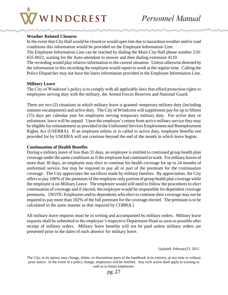# WINDCREST

### **Weather Related Closures**

In the event that City Hall would be closed or would open late due to hazardous weather and/or road conditions this information would be provided on the Employee Information Line.

The Employee Information Line can be reached by dialing the Main City Hall phone number 210- 655-0022, waiting for the Auto-attendant to answer and then dialing extension 4110.

The recording would play relative information to the current situation. Unless otherwise directed by the information in this recording the employee would report to work at the regular time. Calling the Police Dispatcher may not have the latest information provided in the Employee Information Line.

#### **Military Leave**

The City of Windcrest's policy is to comply with all applicable laws that afford protection rights to employees serving duty with the military, the Armed Forces Reserves and National Guard.

There are two (2) situations in which military leave is granted: temporary military duty (including summer encampment) and active duty. The City of Windcrest will supplement pay for up to fifteen (15) days per calendar year for employees serving temporary military duty. For active duty or enlistment, leave will be unpaid. Upon the employee's return from active military service they may be eligible for reinstatement as provided in the Uniformed Services Employment and Reemployment Rights Act (USERRA). If an employee enlists or is called to active duty, employee benefits not provided for by USERRA will not continue beyond the end of the month in which leave begins.

#### **Continuation of Health Benefits**

During a military leave of less than 31 days, an employee is entitled to continued group health plan coverage under the same conditions as if the employee had continued to work. For military leaves of more than 30 days, an employee may elect to continue his health coverage for up to 24 months of uniformed service, but may be required to pay all or part of the premium for the continuation coverage. The City appreciates the sacrifices made by military families. By appreciation, the City offers to pay 100% of the premium of the employee only portion of group health plan coverage while the employee is on Military Leave. The employee would still need to follow the procedures to elect continuation of coverage and if elected, the employee would be responsible for dependent coverage premiums. [NOTE: Employees and/or dependents who elect to continue their coverage may not be required to pay more than 102% of the full premium for the coverage elected. The premium is to be calculated in the same manner as that required by COBRA.]

All military leave requests must be in writing and accompanied by military orders. Military leave requests shall be submitted to the employee's respective Department Head as soon as possible after receipt of military orders. Military leave benefits will not be paid unless military orders are presented prior to the dates of each absence for military leave.

Updated: February23, 2015

The City, at its option, may change, delete, or discontinue parts of the handbook in its entirety, at any time or without prior notice. In the event of a policy change, employees will be notified. Any such action shall apply to existing as well as to future employees.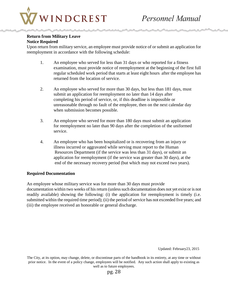

#### **Return from Military Leave Notice Required**

Upon return from military service, an employee must provide notice of or submit an application for reemployment in accordance with the following schedule:

- 1. An employee who served for less than 31 days or who reported for a fitness examination, must provide notice of reemployment at the beginning of the first full regular scheduled work period that starts at least eight hours after the employee has returned from the location of service.
- 2. An employee who served for more than 30 days, but less than 181 days, must submit an application for reemployment no later than 14 days after completing his period of service, or, if this deadline is impossible or unreasonable through no fault of the employee, then on the next calendar day when submission becomes possible.
- 3. An employee who served for more than 180 days must submit an application for reemployment no later than 90 days after the completion of the uniformed service.
- 4. An employee who has been hospitalized or is recovering from an injury or illness incurred or aggravated while serving must report to the Human Resources Department (if the service was less than 31 days), or submit an application for reemployment (if the service was greater than 30 days), at the end of the necessary recovery period (but which may not exceed two years).

# **Required Documentation**

An employee whose military service was for more than 30 days must provide documentation within two weeks of his return (unless such documentation does not yet exist or is not readily available) showing the following: (i) the application for reemployment is timely (i.e. submitted within the required time period); (ii) the period of service has not exceeded five years; and (iii) the employee received an honorable or general discharge.

Updated: February23, 2015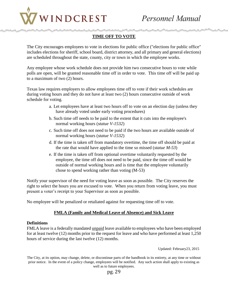

# **TIME OFF TO VOTE**

The City encourages employees to vote in elections for public office ("elections for public office" includes elections for sheriff, school board, district attorney, and all primary and general elections) are scheduled throughout the state, county, city or town in which the employee works.

Any employee whose work schedule does not provide him two consecutive hours to vote while polls are open, will be granted reasonable time off in order to vote. This time off will be paid up to a maximum of two (2) hours.

Texas law requires employers to allow employees time off to vote if their work schedules are during voting hours and they do not have at least two (2) hours consecutive outside of work schedule for voting.

- a. Let employees have at least two hours off to vote on an election day (unless they have already voted under early voting procedures)
- b. Such time off needs to be paid to the extent that it cuts into the employee's normal working hours (*statue V-1532*)
- c. Such time off does not need to be paid if the two hours are available outside of normal working hours (*statue V-1532*)
- d. If the time is taken off from mandatory overtime, the time off should be paid at the rate that would have applied to the time so missed (*statue M-53*)
- e. If the time is taken off from optional overtime voluntarily requested by the employee, the time off does not need to be paid, since the time off would be outside of normal working hours and is time that the employee voluntarily chose to spend working rather than voting (M-53)

Notify your supervisor of the need for voting leave as soon as possible. The City reserves the right to select the hours you are excused to vote. When you return from voting leave, you must present a voter's receipt to your Supervisor as soon as possible.

No employee will be penalized or retaliated against for requesting time off to vote.

# **FMLA (Family and Medical Leave of Absence) and Sick Leave**

#### **Definitions**

FMLA leave is a federally mandated unpaid leave available to employees who have been employed for at least twelve (12) months prior to the request for leave and who have performed at least 1,250 hours of service during the last twelve (12) months.

Updated: February23, 2015

The City, at its option, may change, delete, or discontinue parts of the handbook in its entirety, at any time or without prior notice. In the event of a policy change, employees will be notified. Any such action shall apply to existing as well as to future employees.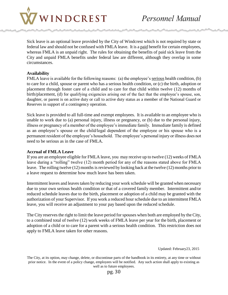

Sick leave is an optional leave provided by the City of Windcrest which is not required by state or federal law and should not be confused with FMLA leave. It is a paid benefit for certain employees, whereas FMLA is an unpaid right. The rules for obtaining the benefits of paid sick leave from the City and unpaid FMLA benefits under federal law are different, although they overlap in some circumstances.

#### **Availability**

FMLA leave is available for the following reasons: (a) the employee's serious health condition, (b) to care for a child, spouse or parent who has a serious health condition, or (c) the birth, adoption or placement through foster care of a child and to care for that child within twelve (12) months of birth/placement, (d) for qualifying exigencies arising out of the fact that the employee's spouse, son, daughter, or parent is on active duty or call to active duty status as a member of the National Guard or Reserves in support of a contingency operation.

Sick leave is provided to all full-time and exempt employees. It is available to an employee who is unable to work due to (a) personal injury, illness or pregnancy, or (b) due to the personal injury, illness or pregnancy of a member of the employee's immediate family. Immediate family is defined as an employee's spouse or the child/legal dependent of the employee or his spouse who is a permanent resident of the employee's household. The employee's personal injury or illness does not need to be serious as in the case of FMLA.

#### **Accrual of FMLA Leave**

If you are an employee eligible for FMLA leave, you may receive up to twelve (12) weeks of FMLA leave during a "rolling" twelve (12) month period for any of the reasons stated above for FMLA leave. The rolling twelve (12) months is reviewed by looking back at the twelve (12) months prior to a leave request to determine how much leave has been taken.

Intermittent leaves and leaves taken by reducing your work schedule will be granted when necessary due to your own serious health condition or that of a covered family member. Intermittent and/or reduced schedule leaves due to the birth, placement or adoption of a child may be granted with the authorization of your Supervisor. If you work a reduced hour schedule due to an intermittent FMLA leave, you will receive an adjustment to your pay based upon the reduced schedule.

The City reserves the right to limit the leave period for spouses when both are employed by the City, to a combined total of twelve (12) work weeks of FMLA leave per year for the birth, placement or adoption of a child or to care for a parent with a serious health condition. This restriction does not apply to FMLA leave taken for other reasons.

Updated: February23, 2015

The City, at its option, may change, delete, or discontinue parts of the handbook in its entirety, at any time or without prior notice. In the event of a policy change, employees will be notified. Any such action shall apply to existing as well as to future employees.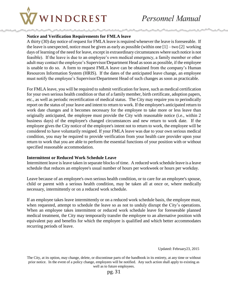

#### **Notice and Verification Requirements for FMLA leave**

A thirty (30) day notice of request for FMLA leave is required whenever the leave is foreseeable. If the leave is unexpected, notice must be given as early as possible (within one  $[1]$  – two  $[2]$  working days of learning of the need for leave, except in extraordinary circumstances where such notice is not feasible). If the leave is due to an employee's own medical emergency, a family member or other adult may contact the employee's Supervisor/Department Head as soon as possible, if the employee is unable to do so. A form to request FMLA leave can be obtained from the company's Human Resources Information System (HRIS). If the dates of the anticipated leave change, an employee must notify the employee's Supervisor/Department Head of such changes as soon as practicable.

For FMLA leave, you will be required to submit verification for leave, such as medical certification for your own serious health condition or that of a family member, birth certificate, adoption papers, etc., as well as periodic recertification of medical status. The City may require you to periodically report on the status of your leave and intent to return to work. If the employee's anticipated return to work date changes and it becomes necessary for the employee to take more or less leave than originally anticipated, the employee must provide the City with reasonable notice (i.e., within 2 business days) of the employee's changed circumstances and new return to work date. If the employee gives the City notice of the employee's intent not to return to work, the employee will be considered to have voluntarily resigned. If your FMLA leave was due to your own serious medical condition, you may be required to provide verification from your health care provider upon your return to work that you are able to perform the essential functions of your position with or without specified reasonable accommodation.

#### **Intermittent or Reduced Work Schedule Leave**

Intermittent leave is leave taken in separate blocks of time. A reduced work schedule leave is a leave schedule that reduces an employee's usual number of hours per workweek or hours per workday.

Leave because of an employee's own serious health condition, or to care for an employee's spouse, child or parent with a serious health condition, may be taken all at once or, where medically necessary, intermittently or on a reduced work schedule.

If an employee takes leave intermittently or on a reduced work schedule basis, the employee must, when requested, attempt to schedule the leave so as not to unduly disrupt the City's operations. When an employee takes intermittent or reduced work schedule leave for foreseeable planned medical treatment, the City may temporarily transfer the employee to an alternative position with equivalent pay and benefits for which the employee is qualified and which better accommodates recurring periods of leave.

Updated: February23, 2015

The City, at its option, may change, delete, or discontinue parts of the handbook in its entirety, at any time or without prior notice. In the event of a policy change, employees will be notified. Any such action shall apply to existing as well as to future employees.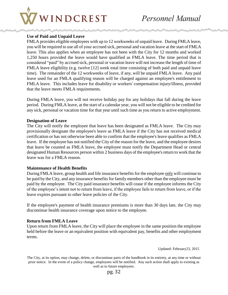

#### **Use of Paid and Unpaid Leave**

FMLA provides eligible employees with up to 12 workweeks of unpaid leave. During FMLA leave, you will be required to use all of your accrued sick, personal and vacation leave at the start of FMLA leave. This also applies when an employee has not been with the City for 12 months and worked 1,250 hours provided the leave would have qualified as FMLA leave. The time period that is considered "paid" by accrued sick, personal or vacation leave will not increase the length of time of FMLA leave eligibility (e.g. twelve [12] week total time consisting of both paid and unpaid leave time). The remainder of the 12 workweeks of leave, if any, will be unpaid FMLA leave. Any paid leave used for an FMLA qualifying reason will be charged against an employee's entitlement to FMLA leave. This includes leave for disability or workers' compensation injury/illness, provided that the leave meets FMLA requirements.

During FMLA leave, you will not receive holiday pay for any holidays that fall during the leave period. During FMLA leave, at the start of a calendar year, you will not be eligible to be credited for any sick, personal or vacation time for that year until such time as you return to active employment.

#### **Designation of Leave**

The City will notify the employee that leave has been designated as FMLA leave. The City may provisionally designate the employee's leave as FMLA leave if the City has not received medical certification or has not otherwise been able to confirm that the employee's leave qualifies as FMLA leave. If the employee has not notified the City of the reason for the leave, and the employee desires that leave be counted as FMLA leave, the employee must notify the Department Head or central designated Human Resources person within 2 business days of the employee's return to work that the leave was for a FMLA reason.

#### **Maintenance of Health Benefits**

During FMLA leave, group health and life insurance benefits for the employee only will continue to be paid by the City, and any insurance benefits for family members other than the employee must be paid by the employee. The City paid insurance benefits will cease if the employee informs the City of the employee's intent not to return from leave, if the employee fails to return from leave, or if the leave expires pursuant to other leave policies of the City.

If the employee's payment of health insurance premiums is more than 30 days late, the City may discontinue health insurance coverage upon notice to the employee.

# **Return from FMLA Leave**

Upon return from FMLA leave, the City will place the employee in the same position the employee held before the leave or an equivalent position with equivalent pay, benefits and other employment terms.

Updated: February23, 2015

The City, at its option, may change, delete, or discontinue parts of the handbook in its entirety, at any time or without prior notice. In the event of a policy change, employees will be notified. Any such action shall apply to existing as well as to future employees.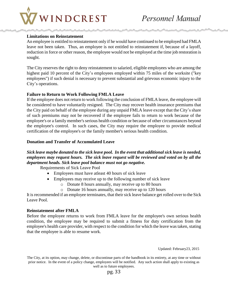

#### **Limitations on Reinstatement**

An employee is entitled to reinstatement only if he would have continued to be employed had FMLA leave not been taken. Thus, an employee is not entitled to reinstatement if, because of a layoff, reduction in force or other reason, the employee would not be employed at the time job restoration is sought.

The City reserves the right to deny reinstatement to salaried, eligible employees who are among the highest paid 10 percent of the City's employees employed within 75 miles of the worksite ("key employees") if such denial is necessary to prevent substantial and grievous economic injury to the City's operations.

#### **Failure to Return to Work Following FMLA Leave**

If the employee does not return to work following the conclusion of FMLA leave, the employee will be considered to have voluntarily resigned. The City may recover health insurance premiums that the City paid on behalf of the employee during any unpaid FMLA leave except that the City's share of such premiums may not be recovered if the employee fails to return to work because of the employee's or a family member's serious health condition or because of other circumstances beyond the employee's control. In such cases, the City may require the employee to provide medical certification of the employee's or the family member's serious health condition.

#### **Donation and Transfer of Accumulated Leave**

# *Sick leave maybe donated to the sick leave pool. In the event that additional sick leave is needed, employees may request hours. The sick leave request will be reviewed and voted on by all the department heads. Sick leave pool balance must not go negative.*

Requirements of Sick Leave Pool

- Employees must have atleast 40 hours of sick leave
- Employees may receive up to the following number of sick leave
	- o Donate 8 hours annually, may receive up to 80 hours
	- o Donate 16 hours annually, may receive up to 120 hours

It is recommended if an employee terminates, that their sick leave balance get rolled over to the Sick Leave Pool.

#### **Reinstatement after FMLA**

Before the employee returns to work from FMLA leave for the employee's own serious health condition, the employee may be required to submit a fitness for duty certification from the employee's health care provider, with respect to the condition for which the leave was taken, stating that the employee is able to resume work.

Updated: February23, 2015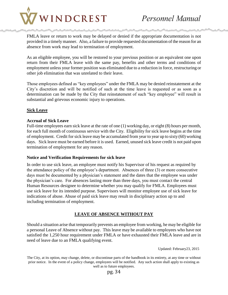

FMLA leave or return to work may be delayed or denied if the appropriate documentation is not provided in a timely manner. Also, a failure to provide requested documentation of the reason for an absence from work may lead to termination of employment.

As an eligible employee, you will be restored to your previous position or an equivalent one upon return from their FMLA leave with the same pay, benefits and other terms and conditions of employment unless your former position was eliminated due to a reduction in force, restructuring or other job elimination that was unrelated to their leave.

Those employees defined as "key employees" under the FMLA may be denied reinstatement at the City's discretion and will be notified of such at the time leave is requested or as soon as a determination can be made by the City that reinstatement of such "key employee" will result in substantial and grievous economic injury to operations.

#### **Sick Leave**

#### **Accrual of Sick Leave**

Full-time employees earn sick leave at the rate of one (1) working day, or eight (8) hours per month, for each full month of continuous service with the City. Eligibility for sick leave begins at the time of employment. Credit for sick leave may be accumulated from year to year up to sixty (60) working days. Sick leave must be earned before it is used. Earned, unused sick leave credit is not paid upon termination of employment for any reason.

#### **Notice and Verification Requirements for sick leave**

In order to use sick leave, an employee must notify his Supervisor of his request as required by the attendance policy of the employee's department. Absences of three (3) or more consecutive days must be documented by a physician's statement and the dates that the employee was under the physician's care. For absences lasting more than three days, you must contact the central Human Resources designee to determine whether you may qualify for FMLA. Employees must use sick leave for its intended purpose. Supervisors will monitor employee use of sick leave for indications of abuse. Abuse of paid sick leave may result in disciplinary action up to and including termination of employment.

# **LEAVE OF ABSENCE WITHOUT PAY**

Should a situation arise that temporarily prevents an employee from working, he may be eligible for a personal Leave of Absence without pay. This leave may be available to employees who have not satisfied the 1,250 hour requirement under FMLA or have exhausted their FMLA leave and are in need of leave due to an FMLA qualifying event.

Updated: February23, 2015

The City, at its option, may change, delete, or discontinue parts of the handbook in its entirety, at any time or without prior notice. In the event of a policy change, employees will be notified. Any such action shall apply to existing as well as to future employees.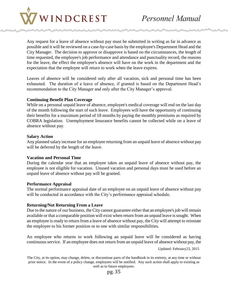

Any request for a leave of absence without pay must be submitted in writing as far in advance as possible and it will be reviewed on a case-by-case basis by the employee's Department Head and the City Manager. The decision to approve or disapprove is based on the circumstances, the length of time requested, the employee's job performance and attendance and punctuality record, the reasons for the leave, the effect the employee's absence will have on the work in the department and the expectation that the employee will return to work when the leave expires.

Leaves of absence will be considered only after all vacation, sick and personal time has been exhausted. The duration of a leave of absence, if granted is based on the Department Head's recommendation to the City Manager and only after the City Manager's approval.

#### **Continuing Benefit Plan Coverage**

While on a personal unpaid leave of absence, employee's medical coverage will end on the last day of the month following the start of such leave. Employees will have the opportunity of continuing their benefits for a maximum period of 18 months by paying the monthly premiums as required by COBRA legislation. Unemployment Insurance benefits cannot be collected while on a leave of absence without pay.

#### **Salary Action**

Any planned salary increase for an employee returning from an unpaid leave of absence without pay will be deferred by the length of the leave.

#### **Vacation and Personal Time**

During the calendar year that an employee takes an unpaid leave of absence without pay, the employee is not eligible for vacation. Unused vacation and personal days must be used before an unpaid leave of absence without pay will be granted.

#### **Performance Appraisal**

The normal performance appraisal date of an employee on an unpaid leave of absence without pay will be conducted in accordance with the City's performance appraisal schedule.

#### **Returning/Not Returning From a Leave**

Due to the nature of our business, the City cannot guarantee either that an employee's job will remain available or that a comparable position will exist when return from an unpaid leave is sought. When an employee is ready to return from a leave of absence without pay, the City will attempt to reinstate the employee to his former position or to one with similar responsibilities.

An employee who returns to work following an unpaid leave will be considered as having continuous service. If an employee does not return from an unpaid leave of absence without pay, the

Updated: February23, 2015

The City, at its option, may change, delete, or discontinue parts of the handbook in its entirety, at any time or without prior notice. In the event of a policy change, employees will be notified. Any such action shall apply to existing as well as to future employees.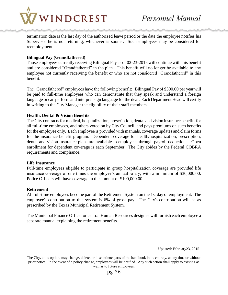

termination date is the last day of the authorized leave period or the date the employee notifies his Supervisor he is not returning, whichever is sooner. Such employees may be considered for reemployment.

#### **Bilingual Pay (Grandfathered)**

Those employees currently receiving Bilingual Pay as of 02-23-2015 will continue with this benefit and are considered "Grandfathered" in the plan. This benefit will no longer be available to any employee not currently receiving the benefit or who are not considered "Grandfathered" in this benefit.

The "Grandfathered" employees have the following benefit: Bilingual Pay of \$300.00 per year will be paid to full-time employees who can demonstrate that they speak and understand a foreign language or can perform and interpret sign language for the deaf. Each Department Head will certify in writing to the City Manager the eligibility of their staff members.

#### **Health, Dental & Vision Benefits**

The City contracts for medical, hospitalization, prescription, dental and vision insurance benefits for all full-time employees, and others voted on by City Council, and pays premiums on such benefits for the employee only. Each employee is provided with manuals, coverage updates and claim forms for the insurance benefit program. Dependent coverage for health/hospitalization, prescription, dental and vision insurance plans are available to employees through payroll deductions. Open enrollment for dependent coverage is each September. The City abides by the Federal COBRA requirements and compliance.

#### **Life Insurance**

Full-time employees eligible to participate in group hospitalization coverage are provided life insurance coverage of one times the employee's annual salary, with a minimum of \$30,000.00. Police Officers will have coverage in the amount of \$100,000.00.

#### **Retirement**

All full-time employees become part of the Retirement System on the 1st day of employment. The employee's contribution to this system is 6% of gross pay. The City's contribution will be as prescribed by the Texas Municipal Retirement System.

The Municipal Finance Officer or central Human Resources designee will furnish each employee a separate manual explaining the retirement benefits.

Updated: February23, 2015

The City, at its option, may change, delete, or discontinue parts of the handbook in its entirety, at any time or without prior notice. In the event of a policy change, employees will be notified. Any such action shall apply to existing as well as to future employees.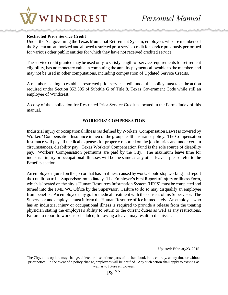# WINDCREST

# **Restricted Prior Service Credit**

Under the Act governing the Texas Municipal Retirement System, employees who are members of the System are authorized and allowed restricted prior service credit for service previously performed for various other public entities for which they have not received credited service.

The service credit granted may be used only to satisfy length-of-service requirements for retirement eligibility, has no monetary value in computing the annuity payments allowable to the member, and may not be used in other computations, including computation of Updated Service Credits.

A member seeking to establish restricted prior service credit under this policy must take the action required under Section 853.305 of Subtitle G of Title 8, Texas Government Code while still an employee of Windcrest.

A copy of the application for Restricted Prior Service Credit is located in the Forms Index of this manual.

# **WORKERS' COMPENSATION**

Industrial injury or occupational illness (as defined by Workers' Compensation Laws) is covered by Workers' Compensation Insurance in lieu of the group health insurance policy. The Compensation Insurance will pay all medical expenses for properly reported on the job injuries and under certain circumstances, disability pay. Texas Workers' Compensation Fund is the sole source of disability pay. Workers' Compensation premiums are paid by the City. The maximum leave time for industrial injury or occupational illnesses will be the same as any other leave – please refer to the Benefits section.

An employee injured on the job or that has an illness caused by work, should stop working and report the condition to his Supervisor immediately. The Employer's First Report of Injury or Illness Form, which is located on the city's Human Resources Information System (HRIS) must be completed and turned into the TML WC Office by the Supervisor. Failure to do so may disqualify an employee from benefits. An employee may go for medical treatment with the consent of his Supervisor. The Supervisor and employee must inform the Human Resource office immediately. An employee who has an industrial injury or occupational illness is required to provide a release from the treating physician stating the employee's ability to return to the current duties as well as any restrictions. Failure to report to work as scheduled, following a leave, may result in dismissal.

Updated: February23, 2015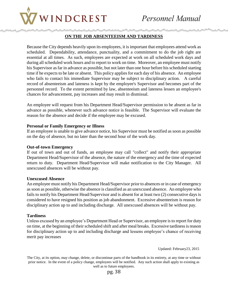

# **ON THE JOB ABSENTEEISM AND TARDINESS**

Because the City depends heavily upon its employees, it is important that employees attend work as scheduled. Dependability, attendance, punctuality, and a commitment to do the job right are essential at all times. As such, employees are expected at work on all scheduled work days and during all scheduled work hours and to report to work on time. Moreover, an employee must notify his Supervisor as far in advance as possible, but not later than one hour before his scheduled starting time if he expects to be late or absent. This policy applies for each day of his absence. An employee who fails to contact his immediate Supervisor may be subject to disciplinary action. A careful record of absenteeism and lateness is kept by the employee's Supervisor and becomes part of the personnel record. To the extent permitted by law, absenteeism and lateness lessen an employee's chances for advancement, pay increases and may result in dismissal.

An employee will request from his Department Head/Supervisor permission to be absent as far in advance as possible, whenever such advance notice is feasible. The Supervisor will evaluate the reason for the absence and decide if the employee may be excused.

#### **Personal or Family Emergency or Illness**

If an employee is unable to give advance notice, his Supervisor must be notified as soon as possible on the day of absence, but no later than the second hour of the work day.

#### **Out-of-town Emergency**

If out of town and out of funds, an employee may call "collect" and notify their appropriate Department Head/Supervisor of the absence, the nature of the emergency and the time of expected return to duty. Department Head/Supervisor will make notification to the City Manager. All unexcused absences will be without pay.

#### **Unexcused Absence**

An employee must notify his Department Head/Supervisor prior to absences or in case of emergency as soon as possible, otherwise the absence is classified as an unexcused absence. An employee who fails to notify his Department Head/Supervisor and is absent for at least two (2) consecutive days is considered to have resigned his position as job abandonment. Excessive absenteeism is reason for disciplinary action up to and including discharge. All unexcused absences will be without pay.

#### **Tardiness**

Unless excused by an employee's Department Head or Supervisor, an employee is to report for duty on time, at the beginning of their scheduled shift and after meal breaks. Excessive tardiness is reason for disciplinary action up to and including discharge and lessens employee's chance of receiving merit pay increases

Updated: February23, 2015

The City, at its option, may change, delete, or discontinue parts of the handbook in its entirety, at any time or without prior notice. In the event of a policy change, employees will be notified. Any such action shall apply to existing as well as to future employees.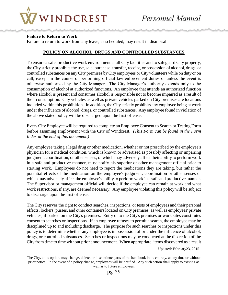

#### **Failure to Return to Work**

Failure to return to work from any leave, as scheduled, may result in dismissal.

## **POLICY ON ALCOHOL, DRUGS AND CONTROLLED SUBSTANCES**

To ensure a safe, productive work environment at all City facilities and to safeguard City property, the City strictly prohibits the use, sale, purchase, transfer, receipt, or possession of alcohol, drugs, or controlled substances on any City premises by City employees or City volunteers while on duty or on call, except in the course of performing official law enforcement duties or unless the event is otherwise authorized by the City Manager. The City Manager's authority extends only to the consumption of alcohol at authorized functions. An employee that attends an authorized function where alcohol is present and consumes alcohol is responsible not to become impaired as a result of their consumption. City vehicles as well as private vehicles parked on City premises are locations included within this prohibition. In addition, the City strictly prohibits any employee being at work under the influence of alcohol, drugs, or controlled substances. Any employee found in violation of the above stated policy will be discharged upon the first offense.

Every City Employee will be required to complete an Employee Consent to Search or Testing Form before assuming employment with the City of Windcrest. *(This Form can be found in the Form Index at the end of this document.)*

Any employee taking a legal drug or other medication, whether or not prescribed by the employee's physician for a medical condition, which is known or advertised as possibly affecting or impairing judgment, coordination, or other senses, or which may adversely affect their ability to perform work in a safe and productive manner, must notify his superior or other management official prior to starting work. Employees do not need to report the medications they are taking, but rather the potential effects of the medication on the employee's judgment, coordination or other senses or which may adversely affect the employee's ability to perform work in a safe and productive manner. The Supervisor or management official will decide if the employee can remain at work and what work restrictions, if any, are deemed necessary. Any employee violating this policy will be subject to discharge upon the first offense.

The City reserves the right to conduct searches, inspections, or tests of employees and their personal effects, lockers, purses, and other containers located on City premises, as well as employees' private vehicles, if parked on the City's premises. Entry onto the City's premises or work sites constitutes consent to searches or inspections. If an employee refuses to permit a search, the employee may be disciplined up to and including discharge. The purpose for such searches or inspections under this policy is to determine whether any employee is in possession of or under the influence of alcohol, drugs, or controlled substances. Searches or inspections may be conducted at the discretion of the City from time to time without prior announcement. When appropriate, items discovered as a result

Updated: February23, 2015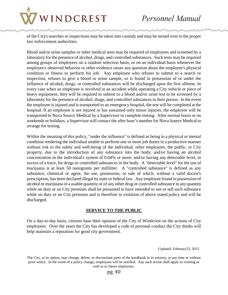

of the City's searches or inspections may be taken into custody and may be turned over to the proper law enforcement authorities.

Blood and/or urine samples or other medical tests may be required of employees and screened by a laboratory for the presence of alcohol, drugs, and controlled substances. Such tests may be required among groups of employees on a random selection basis, or on an individual basis whenever the employee's observed behavior or other evidence raises any question about the employee's physical condition or fitness to perform his job. Any employee who refuses to submit to a search or inspection, refuses to give a blood or urine sample, or is found in possession of or under the influence of alcohol, drugs, or controlled substances will be discharged upon the first offense. In every case when an employee is involved in an accident while operating a City vehicle or piece of heavy equipment, they will be required to submit to a blood and/or urine test to be screened by a laboratory for the presence of alcohol, drugs, and controlled substances in their person. In the event the employee is injured and is transported to an emergency hospital, the test will be completed at the hospital. If an employee is not injured or has sustained only minor injuries, the employee will be transported to Nova Source Medical by a Supervisor to complete testing. After normal hours or on weekends or holidays, a Supervisor will contact the after hour's number for Nova Source Medical to arrange for testing.

Within the meaning of this policy, "under the influence" is defined as being in a physical or mental condition rendering the individual unable to perform one or more job duties in a productive manner without risk to the safety and well-being of the individual, other employees, the public, or City property, due to the introduction of any substance into the body; and/or having an alcohol concentration in the individual's system of 0.04% or more; and/or having any detectable level, in excess of a trace, for drugs or controlled substances in the body. A "detectable level" for the use of marijuana is at least 50 nanograms per milliliter. A "controlled substance" is defined as any substance, chemical or agent, the use, possession, or sale of which, without a valid doctor's prescription, has been declared illegal by state or federal law. Any employee found in possession of alcohol or marijuana in a usable quantity or of any other drug or controlled substance in any quantity while on duty or on City premises shall be presumed to have intended to use or sell such substance while on duty or on City premises and is therefore in violation of above stated policy and will be discharged.

#### **SERVICE TO THE PUBLIC**

On a day-to-day basis, citizens base their opinion of the City of Windcrest on the actions of City employees. Over the years the City has developed a code of personal conduct the City thinks will help maintain a reputation for good city government.

Updated: February23, 2015

The City, at its option, may change, delete, or discontinue parts of the handbook in its entirety, at any time or without prior notice. In the event of a policy change, employees will be notified. Any such action shall apply to existing as well as to future employees.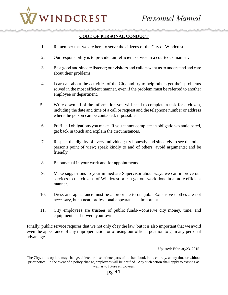

# **CODE OF PERSONAL CONDUCT**

- 1. Remember that we are here to serve the citizens of the City of Windcrest.
- 2. Our responsibility is to provide fair, efficient service in a courteous manner.
- 3. Be a good and sincere listener; our visitors and callers want us to understand and care about their problems.
- 4. Learn all about the activities of the City and try to help others get their problems solved in the most efficient manner, even if the problem must be referred to another employee or department.
- 5. Write down all of the information you will need to complete a task for a citizen, including the date and time of a call or request and the telephone number or address where the person can be contacted, if possible.
- 6. Fulfill all obligations you make. If you cannot complete an obligation as anticipated, get back in touch and explain the circumstances.
- 7. Respect the dignity of every individual; try honestly and sincerely to see the other person's point of view; speak kindly to and of others; avoid arguments; and be friendly.
- 8. Be punctual in your work and for appointments.
- 9. Make suggestions to your immediate Supervisor about ways we can improve our services to the citizens of Windcrest or can get our work done in a more efficient manner.
- 10. Dress and appearance must be appropriate to our job. Expensive clothes are not necessary, but a neat, professional appearance is important.
- 11. City employees are trustees of public funds---conserve city money, time, and equipment as if it were your own.

Finally, public service requires that we not only obey the law, but it is also important that we avoid even the appearance of any improper action or of using our official position to gain any personal advantage.

Updated: February23, 2015

The City, at its option, may change, delete, or discontinue parts of the handbook in its entirety, at any time or without prior notice. In the event of a policy change, employees will be notified. Any such action shall apply to existing as well as to future employees.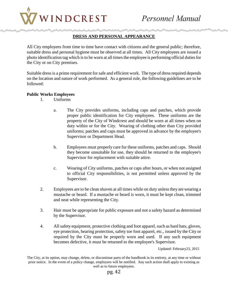

# **DRESS AND PERSONAL APPEARANCE**

All City employees from time to time have contact with citizens and the general public; therefore, suitable dress and personal hygiene must be observed at all times. All City employees are issued a photo identification tag which is to be worn at all times the employee is performing official duties for the City or on City premises.

Suitable dress is a prime requirement for safe and efficient work. The type of dress required depends on the location and nature of work performed. As a general rule, the following guidelines are to be followed:

#### **Public Works Employees**

- 1. Uniforms
	- a. The City provides uniforms, including caps and patches, which provide proper public identification for City employees. These uniforms are the property of the City of Windcrest and should be worn at all times when on duty within or for the City. Wearing of clothing other than City provided uniforms; patches and caps must be approved in advance by the employee's Supervisor or Department Head.
	- b. Employees must properly care for these uniforms, patches and caps. Should they become unsuitable for use, they should be returned to the employee's Supervisor for replacement with suitable attire.
	- c. Wearing of City uniforms, patches or caps after hours, or when not assigned to official City responsibilities, is not permitted unless approved by the Supervisor.
- 2. Employees are to be clean shaven at all times while on duty unless they are wearing a mustache or beard. If a mustache or beard is worn, it must be kept clean, trimmed and neat while representing the City.
- 3. Hair must be appropriate for public exposure and not a safety hazard as determined by the Supervisor.
- 4. All safety equipment, protective clothing and foot apparel, such as hard hats, gloves, eye protection, hearing protection, safety toe foot apparel, etc., issued by the City or required by the City must be properly worn and used. If any such equipment becomes defective, it must be returned to the employee's Supervisor.

Updated: February23, 2015

The City, at its option, may change, delete, or discontinue parts of the handbook in its entirety, at any time or without prior notice. In the event of a policy change, employees will be notified. Any such action shall apply to existing as well as to future employees.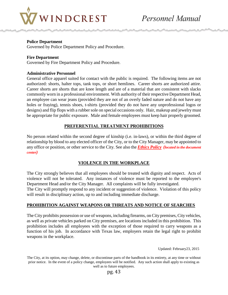

## **Police Department**

Governed by Police Department Policy and Procedure.

#### **Fire Department**

Governed by Fire Department Policy and Procedure.

#### **Administrative Personnel**

General office apparel suited for contact with the public is required. The following items are not authorized: shorts, halter tops, tank tops, or short hemlines. Career shorts are authorized attire. Career shorts are shorts that are knee length and are of a material that are consistent with slacks commonly worn in a professional environment. With authority of their respective Department Head, an employee can wear jeans (provided they are not of an overly faded nature and do not have any holes or fraying), tennis shoes, t-shirts (provided they do not have any unprofessional logos or designs) and flip flops with a rubber sole on special occasions only. Hair, makeup and jewelry must be appropriate for public exposure. Male and female employees must keep hair properly groomed.

# **PREFERENTIAL TREATMENT PROHIBITIONS**

No person related within the second degree of kinship (i.e. in-laws), or within the third degree of relationship by blood to any elected officer of the City, or to the City Manager, may be appointed to any office or position, or other service to the City. See also the *[Ethics Policy](http://windcrest-tx.gov/DocumentView.aspx?DID=241) (located in the document center)*

# **VIOLENCE IN THE WORKPLACE**

The City strongly believes that all employees should be treated with dignity and respect. Acts of violence will not be tolerated. Any instances of violence must be reported to the employee's Department Head and/or the City Manager. All complaints will be fully investigated.

The City will promptly respond to any incident or suggestion of violence. Violation of this policy will result in disciplinary action, up to and including immediate discharge.

# **PROHIBITION AGAINST WEAPONS OR THREATS AND NOTICE OF SEARCHES**

The City prohibits possession or use of weapons, including firearms, on City premises, City vehicles, as well as private vehicles parked on City premises, are locations included in this prohibition. This prohibition includes all employees with the exception of those required to carry weapons as a function of his job. In accordance with Texas law, employers retain the legal right to prohibit weapons in the workplace.

Updated: February23, 2015

The City, at its option, may change, delete, or discontinue parts of the handbook in its entirety, at any time or without prior notice. In the event of a policy change, employees will be notified. Any such action shall apply to existing as well as to future employees.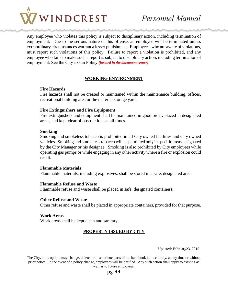

Any employee who violates this policy is subject to disciplinary action, including termination of employment. Due to the serious nature of this offense, an employee will be terminated unless extraordinary circumstances warrant a lesser punishment. Employees, who are aware of violations, must report such violations of this policy. Failure to report a violation is prohibited, and any employee who fails to make such a report is subject to disciplinary action, including termination of employment. See the City's Gun Policy *(located in the document center)*

#### **WORKING ENVIRONMENT**

#### **Fire Hazards**

Fire hazards shall not be created or maintained within the maintenance building, offices, recreational building area or the material storage yard.

#### **Fire Extinguishers and Fire Equipment**

Fire extinguishers and equipment shall be maintained in good order, placed in designated areas, and kept clear of obstructions at all times.

#### **Smoking**

Smoking and smokeless tobacco is prohibited in all City owned facilities and City owned vehicles. Smoking and smokeless tobacco will be permitted only in specific areas designated by the City Manager or his designee. Smoking is also prohibited by City employees while operating gas pumps or while engaging in any other activity where a fire or explosion could result.

#### **Flammable Materials**

Flammable materials, including explosives, shall be stored in a safe, designated area.

#### **Flammable Refuse and Waste**

Flammable refuse and waste shall be placed in safe, designated containers.

#### **Other Refuse and Waste**

Other refuse and waste shall be placed in appropriate containers, provided for that purpose.

#### **Work Areas**

Work areas shall be kept clean and sanitary.

# **PROPERTY ISSUED BY CITY**

Updated: February23, 2015

The City, at its option, may change, delete, or discontinue parts of the handbook in its entirety, at any time or without prior notice. In the event of a policy change, employees will be notified. Any such action shall apply to existing as well as to future employees.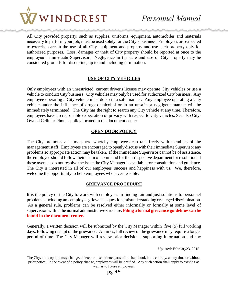

All City provided property, such as supplies, uniforms, equipment, automobiles and materials necessary to perform your job, must be used solely for the City's business. Employees are expected to exercise care in the use of all City equipment and property and use such property only for authorized purposes. Loss, damages or theft of City property should be reported at once to the employee's immediate Supervisor. Negligence in the care and use of City property may be considered grounds for discipline, up to and including termination.

#### **USE OF CITY VEHICLES**

Only employees with an unrestricted, current driver's license may operate City vehicles or use a vehicle to conduct City business. City vehicles may only be used for authorized City business. Any employee operating a City vehicle must do so in a safe manner. Any employee operating a City vehicle under the influence of drugs or alcohol or in an unsafe or negligent manner will be immediately terminated. The City has the right to search any City vehicle at any time. Therefore, employees have no reasonable expectation of privacy with respect to City vehicles. See also City-Owned Cellular Phones policy located in the document center

# **OPEN DOOR POLICY**

The City promotes an atmosphere whereby employees can talk freely with members of the management staff. Employees are encouraged to openly discuss with their immediate Supervisor any problems so appropriate action may be taken. If the immediate Supervisor cannot be of assistance, the employee should follow their chain of command for their respective department for resolution. If these avenues do not resolve the issue the City Manager is available for consultation and guidance. The City is interested in all of our employees' success and happiness with us. We, therefore, welcome the opportunity to help employees whenever feasible.

#### **GRIEVANCE PROCEDURE**

It is the policy of the City to work with employees in finding fair and just solutions to personnel problems, including any employee grievance, question, misunderstanding or alleged discrimination. As a general rule, problems can be resolved either informally or formally at some level of supervision within the normal administrative structure. **Filing a formal grievance guidelines can be found in the document center.**

Generally, a written decision will be submitted by the City Manager within five (5) full working days, following receipt of the grievance. At times, full review of the grievance may require a longer period of time. The City Manager will review prior decisions, supporting information and any

Updated: February23, 2015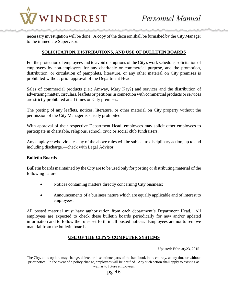

necessary investigation will be done. A copy of the decision shall be furnished by the City Manager to the immediate Supervisor.

#### **SOLICITATION, DISTRIBUTIONS, AND USE OF BULLETIN BOARDS**

For the protection of employees and to avoid disruptions of the City's work schedule, solicitation of employees by non-employees for any charitable or commercial purpose, and the promotion, distribution, or circulation of pamphlets, literature, or any other material on City premises is prohibited without prior approval of the Department Head.

Sales of commercial products (i.e.: Amway, Mary Kay?) and services and the distribution of advertising matter, circulars, leaflets or petitions in connection with commercial products or services are strictly prohibited at all times on City premises.

The posting of any leaflets, notices, literature, or other material on City property without the permission of the City Manager is strictly prohibited.

With approval of their respective Department Head, employees may solicit other employees to participate in charitable, religious, school, civic or social club fundraisers.

Any employee who violates any of the above rules will be subject to disciplinary action, up to and including discharge.—check with Legal Advisor

#### **Bulletin Boards**

Bulletin boards maintained by the City are to be used only for posting or distributing material of the following nature:

- Notices containing matters directly concerning City business;
- Announcements of a business nature which are equally applicable and of interest to employees.

All posted material must have authorization from each department's Department Head. All employees are expected to check these bulletin boards periodically for new and/or updated information and to follow the rules set forth in all posted notices. Employees are not to remove material from the bulletin boards.

# **USE OF THE CITY'S COMPUTER SYSTEMS**

Updated: February23, 2015

The City, at its option, may change, delete, or discontinue parts of the handbook in its entirety, at any time or without prior notice. In the event of a policy change, employees will be notified. Any such action shall apply to existing as well as to future employees.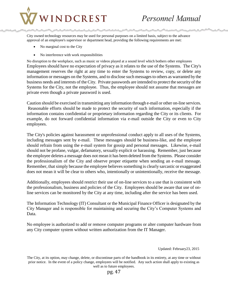

City owned technology resources may be used for personal purposes on a limited basis, subject to the advance approval of an employee's supervisor or department head, providing the following requirements are met:

- No marginal cost to the City
- No interference with work responsibilities

No disruption to the workplace, such as music or videos played at a sound level which bothers other employees Employees should have no expectation of privacy as it relates to the use of the Systems.The City's management reserves the right at any time to enter the Systems to review, copy, or delete any information or messages on the Systems, and to disclose such messages to others as warranted by the business needs and interests of the City. Private passwords are intended to protect the security of the Systems for the City, not the employee. Thus, the employee should not assume that messages are private even though a private password is used.

Caution should be exercised in transmitting any information through e-mail or other on-line services. Reasonable efforts should be made to protect the security of such information, especially if the information contains confidential or proprietary information regarding the City or its clients. For example, do not forward confidential information via e-mail outside the City or even to City employees.

The City's policies against harassment or unprofessional conduct apply to all uses of the Systems, including messages sent by e-mail. These messages should be business-like, and the employee should refrain from using the e-mail system for gossip and personal messages. Likewise, e-mail should not be profane, vulgar, defamatory, sexually explicit or harassing. Remember, just because the employee deletes a message does not mean it has been deleted from the Systems. Please consider the professionalism of the City and observe proper etiquette when sending an e-mail message. Remember, that simply because the employee believes something is clearly sarcastic or exaggerated does not mean it will be clear to others who, intentionally or unintentionally, receive the message.

Additionally, employees should restrict their use of on-line services to a use that is consistent with the professionalism, business and policies of the City. Employees should be aware that use of online services can be monitored by the City at any time, including after the service has been used.

The Information Technology (IT) Consultant or the Municipal Finance Officer is designated by the City Manager and is responsible for maintaining and securing the City's Computer Systems and Data.

No employee is authorized to add or remove computer programs or alter computer hardware from any City computer system without written authorization from the IT Manager.

Updated: February23, 2015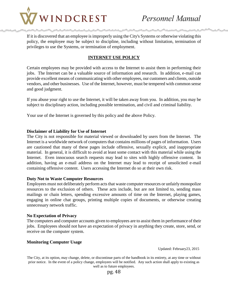

If it is discovered that an employee is improperly using the City's Systems or otherwise violating this policy, the employee may be subject to discipline, including without limitation, termination of privileges to use the Systems, or termination of employment.

# **INTERNET USE POLICY**

Certain employees may be provided with access to the Internet to assist them in performing their jobs. The Internet can be a valuable source of information and research. In addition, e-mail can provide excellent means of communicating with other employees, our customers and clients, outside vendors, and other businesses. Use of the Internet, however, must be tempered with common sense and good judgment.

If you abuse your right to use the Internet, it will be taken away from you. In addition, you may be subject to disciplinary action, including possible termination, and civil and criminal liability.

Your use of the Internet is governed by this policy and the above Policy.

#### **Disclaimer of Liability for Use of Internet**

The City is not responsible for material viewed or downloaded by users from the Internet. The Internet is a worldwide network of computers that contains millions of pages of information. Users are cautioned that many of these pages include offensive, sexually explicit, and inappropriate material. In general, it is difficult to avoid at least some contact with this material while using the Internet. Even innocuous search requests may lead to sites with highly offensive content. In addition, having an e-mail address on the Internet may lead to receipt of unsolicited e-mail containing offensive content. Users accessing the Internet do so at their own risk.

#### **Duty Not to Waste Computer Resources**

Employees must not deliberately perform acts that waste computer resources or unfairly monopolize resources to the exclusion of others. These acts include, but are not limited to, sending mass mailings or chain letters, spending excessive amounts of time on the Internet, playing games, engaging in online chat groups, printing multiple copies of documents, or otherwise creating unnecessary network traffic.

#### **No Expectation of Privacy**

The computers and computer accounts given to employees are to assist them in performance of their jobs. Employees should not have an expectation of privacy in anything they create, store, send, or receive on the computer system.

# **Monitoring Computer Usage**

Updated: February23, 2015

The City, at its option, may change, delete, or discontinue parts of the handbook in its entirety, at any time or without prior notice. In the event of a policy change, employees will be notified. Any such action shall apply to existing as well as to future employees.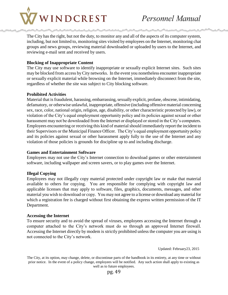

The City has the right, but not the duty, to monitor any and all of the aspects of its computer system, including, but not limited to, monitoring sites visited by employees on the Internet, monitoring chat groups and news groups, reviewing material downloaded or uploaded by users to the Internet, and reviewing e-mail sent and received by users.

#### **Blocking of Inappropriate Content**

The City may use software to identify inappropriate or sexually explicit Internet sites. Such sites may be blocked from access by City networks. In the event you nonetheless encounter inappropriate or sexually explicit material while browsing on the Internet, immediately disconnect from the site, regardless of whether the site was subject to City blocking software.

#### **Prohibited Activities**

Material that is fraudulent, harassing, embarrassing, sexually explicit, profane, obscene, intimidating, defamatory, or otherwise unlawful, inappropriate, offensive (including offensive material concerning sex, race, color, national origin, religion, age, disability, or other characteristic protected by law), or violation of the City's equal employment opportunity policy and its policies against sexual or other harassment may not be downloaded from the Internet or displayed or stored in the City's computers. Employees encountering or receiving this kind of material should immediately report the incident to their Supervisors or the Municipal Finance Officer. The City's equal employment opportunity policy and its policies against sexual or other harassment apply fully to the use of the Internet and any violation of those policies is grounds for discipline up to and including discharge.

#### **Games and Entertainment Software**

Employees may not use the City's Internet connection to download games or other entertainment software, including wallpaper and screen savers, or to play games over the Internet.

#### **Illegal Copying**

Employees may not illegally copy material protected under copyright law or make that material available to others for copying. You are responsible for complying with copyright law and applicable licenses that may apply to software, files, graphics, documents, messages, and other material you wish to download or copy. You may not agree to a license or download any material for which a registration fee is charged without first obtaining the express written permission of the IT Department.

#### **Accessing the Internet**

To ensure security and to avoid the spread of viruses, employees accessing the Internet through a computer attached to the City's network must do so through an approved Internet firewall. Accessing the Internet directly by modem is strictly prohibited unless the computer you are using is not connected to the City's network.

Updated: February23, 2015

The City, at its option, may change, delete, or discontinue parts of the handbook in its entirety, at any time or without prior notice. In the event of a policy change, employees will be notified. Any such action shall apply to existing as well as to future employees.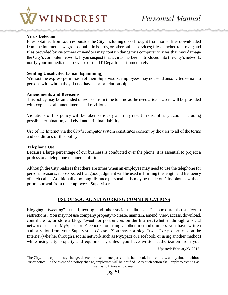

### **Virus Detection**

Files obtained from sources outside the City, including disks brought from home; files downloaded from the Internet, newsgroups, bulletin boards, or other online services; files attached to e-mail; and files provided by customers or vendors may contain dangerous computer viruses that may damage the City's computer network. If you suspect that a virus has been introduced into the City's network, notify your immediate supervisor or the IT Department immediately.

#### **Sending Unsolicited E-mail (spamming)**

Without the express permission of their Supervisors, employees may not send unsolicited e-mail to persons with whom they do not have a prior relationship.

#### **Amendments and Revisions**

This policy may be amended or revised from time to time as the need arises. Users will be provided with copies of all amendments and revisions.

Violations of this policy will be taken seriously and may result in disciplinary action, including possible termination, and civil and criminal liability.

Use of the Internet via the City's computer system constitutes consent by the user to all of the terms and conditions of this policy.

#### **Telephone Use**

Because a large percentage of our business is conducted over the phone, it is essential to project a professional telephone manner at all times.

Although the City realizes that there are times when an employee may need to use the telephone for personal reasons, it is expected that good judgment will be used in limiting the length and frequency of such calls. Additionally, no long distance personal calls may be made on City phones without prior approval from the employee's Supervisor.

#### **USE OF SOCIAL NETWORKING COMMUNICATIONS**

Blogging, "tweeting", e-mail, texting, and other social media such Facebook are also subject to restrictions. You may not use company property to create, maintain, amend, view, access, download, contribute to, or store a blog, "tweet" or post entries on the Internet (whether through a social network such as MySpace or Facebook, or using another method), unless you have written authorization from your Supervisor to do so. You may not blog, "tweet" or post entries on the Internet (whether through a social network such as MySpace or Facebook, or using another method) while using city property and equipment , unless you have written authorization from your

Updated: February23, 2015

The City, at its option, may change, delete, or discontinue parts of the handbook in its entirety, at any time or without prior notice. In the event of a policy change, employees will be notified. Any such action shall apply to existing as well as to future employees.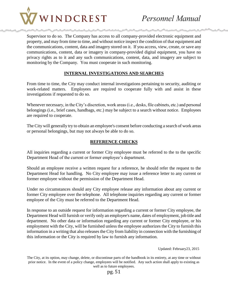

Supervisor to do so. The Company has access to all company-provided electronic equipment and property, and may from time to time, and without notice inspect the condition of that equipment and the communications, content, data and imagery stored on it. If you access, view, create, or save any communications, content, data or imagery in company-provided digital equipment, you have no privacy rights as to it and any such communications, content, data, and imagery are subject to monitoring by the Company. You must cooperate in such monitoring.

## **INTERNAL INVESTIGATIONS AND SEARCHES**

From time to time, the City may conduct internal investigations pertaining to security, auditing or work-related matters. Employees are required to cooperate fully with and assist in these investigations if requested to do so.

Whenever necessary, in the City's discretion, work areas (i.e., desks, file cabinets, etc.) and personal belongings (i.e., brief cases, handbags, etc.) may be subject to a search without notice. Employees are required to cooperate.

The City will generally try to obtain an employee's consent before conducting a search of work areas or personal belongings, but may not always be able to do so.

#### **REFERENCE CHECKS**

All inquiries regarding a current or former City employee must be referred to the to the specific Department Head of the current or former employee's department.

Should an employee receive a written request for a reference, he should refer the request to the Department Head for handling. No City employee may issue a reference letter to any current or former employee without the permission of the Department Head.

Under no circumstances should any City employee release any information about any current or former City employee over the telephone. All telephone inquiries regarding any current or former employee of the City must be referred to the Department Head.

In response to an outside request for information regarding a current or former City employee, the Department Head will furnish or verify only an employee's name, dates of employment, job title and department. No other data or information regarding any current or former City employee, or his employment with the City, will be furnished unless the employee authorizes the City to furnish this information in a writing that also releases the City from liability in connection with the furnishing of this information or the City is required by law to furnish any information.

Updated: February23, 2015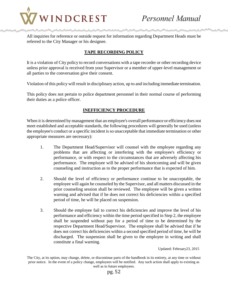

All inquiries for reference or outside request for information regarding Department Heads must be referred to the City Manager or his designee.

# **TAPE RECORDING POLICY**

It is a violation of City policy to record conversations with a tape recorder or other recording device unless prior approval is received from your Supervisor or a member of upper-level management or all parties to the conversation give their consent.

Violation of this policy will result in disciplinary action, up to and including immediate termination.

This policy does not pertain to police department personnel in their normal course of performing their duties as a police officer.

# **INEFFICIENCY PROCEDURE**

When it is determined by management that an employee's overall performance or efficiency does not meet established and acceptable standards, the following procedures will generally be used (unless the employee's conduct or a specific incident is so unacceptable that immediate termination or other appropriate measures are necessary):

- 1. The Department Head/Supervisor will counsel with the employee regarding any problems that are affecting or interfering with the employee's efficiency or performance, or with respect to the circumstances that are adversely affecting his performance. The employee will be advised of his shortcoming and will be given counseling and instruction as to the proper performance that is expected of him.
- 2. Should the level of efficiency or performance continue to be unacceptable, the employee will again be counseled by the Supervisor, and all matters discussed in the prior counseling session shall be reviewed. The employee will be given a written warning and advised that if he does not correct his deficiencies within a specified period of time, he will be placed on suspension.
- 3. Should the employee fail to correct his deficiencies and improve the level of his performance and efficiency within the time period specified in Step 2, the employee shall be suspended without pay for a period of time to be determined by the respective Department Head/Supervisor. The employee shall be advised that if he does not correct his deficiencies within a second specified period of time, he will be discharged. The suspension shall be given to the employee in writing and shall constitute a final warning.

Updated: February23, 2015

The City, at its option, may change, delete, or discontinue parts of the handbook in its entirety, at any time or without prior notice. In the event of a policy change, employees will be notified. Any such action shall apply to existing as well as to future employees.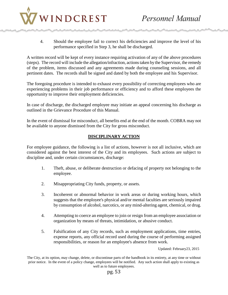

4. Should the employee fail to correct his deficiencies and improve the level of his performance specified in Step 3, he shall be discharged.

A written record will be kept of every instance requiring activation of any of the above procedures (steps). The record will include the allegation/infraction, actions taken by the Supervisor, the remedy of the problem, items discussed and any agreements made during counseling sessions, and all pertinent dates. The records shall be signed and dated by both the employee and his Supervisor.

The foregoing procedure is intended to exhaust every possibility of correcting employees who are experiencing problems in their job performance or efficiency and to afford these employees the opportunity to improve their employment deficiencies.

In case of discharge, the discharged employee may initiate an appeal concerning his discharge as outlined in the Grievance Procedure of this Manual.

In the event of dismissal for misconduct, all benefits end at the end of the month. COBRA may not be available to anyone dismissed from the City for gross misconduct.

# **DISCIPLINARY ACTION**

For employee guidance, the following is a list of actions, however is not all inclusive, which are considered against the best interest of the City and its employees. Such actions are subject to discipline and, under certain circumstances, discharge:

- 1. Theft, abuse, or deliberate destruction or defacing of property not belonging to the employee.
- 2. Misappropriating City funds, property, or assets.
- 3. Incoherent or abnormal behavior in work areas or during working hours, which suggests that the employee's physical and/or mental faculties are seriously impaired by consumption of alcohol, narcotics, or any mind-altering agent, chemical, or drug.
- 4. Attempting to coerce an employee to join or resign from an employee association or organization by means of threats, intimidation, or abusive conduct.
- 5. Falsification of any City records, such as employment applications, time entries, expense reports, any official record used during the course of performing assigned responsibilities, or reason for an employee's absence from work.

Updated: February23, 2015

The City, at its option, may change, delete, or discontinue parts of the handbook in its entirety, at any time or without prior notice. In the event of a policy change, employees will be notified. Any such action shall apply to existing as well as to future employees.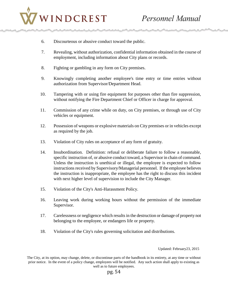

- 6. Discourteous or abusive conduct toward the public.
- 7. Revealing, without authorization, confidential information obtained in the course of employment, including information about City plans or records.
- 8. Fighting or gambling in any form on City premises.
- 9. Knowingly completing another employee's time entry or time entries without authorization from Supervisor/Department Head.
- 10. Tampering with or using fire equipment for purposes other than fire suppression, without notifying the Fire Department Chief or Officer in charge for approval.
- 11. Commission of any crime while on duty, on City premises, or through use of City vehicles or equipment.
- 12. Possession of weapons or explosive materials on City premises or in vehicles except as required by the job.
- 13. Violation of City rules on acceptance of any form of gratuity.
- 14. Insubordination. Definition: refusal or deliberate failure to follow a reasonable, specific instruction of, or abusive conduct toward, a Supervisor in chain of command. Unless the instruction is unethical or illegal, the employee is expected to follow instructions received by Supervisory/Managerial personnel. If the employee believes the instruction is inappropriate, the employee has the right to discuss this incident with next higher level of supervision to include the City Manager.
- 15. Violation of the City's Anti-Harassment Policy.
- 16. Leaving work during working hours without the permission of the immediate Supervisor.
- 17. Carelessness or negligence which results in the destruction or damage of property not belonging to the employee, or endangers life or property.
- 18. Violation of the City's rules governing solicitation and distributions.

Updated: February23, 2015

The City, at its option, may change, delete, or discontinue parts of the handbook in its entirety, at any time or without prior notice. In the event of a policy change, employees will be notified. Any such action shall apply to existing as well as to future employees.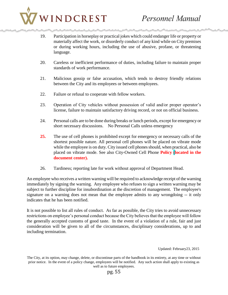

- 19. Participation in horseplay or practical jokes which could endanger life or property or materially affect the work, or disorderly conduct of any kind while on City premises or during working hours, including the use of abusive, profane, or threatening language.
- 20. Careless or inefficient performance of duties, including failure to maintain proper standards of work performance.
- 21. Malicious gossip or false accusation, which tends to destroy friendly relations between the City and its employees or between employees.
- 22. Failure or refusal to cooperate with fellow workers.
- 23. Operation of City vehicles without possession of valid and/or proper operator's license, failure to maintain satisfactory driving record, or not on official business.
- 24. Personal calls are to be done during breaks or lunch periods, except for emergency or short necessary discussions. No Personal Calls unless emergency
- **25.** The use of cell phones is prohibited except for emergency or necessary calls of the shortest possible nature. All personal cell phones will be placed on vibrate mode while the employee is on duty. City issued cell phones should, when practical, also be placed on vibrate mode. See also City-Owned Cell Phone **Policy (located in the document center).**
- 26. Tardiness; reporting late for work without approval of Department Head.

An employee who receives a written warning will be required to acknowledge receipt of the warning immediately by signing the warning. Any employee who refuses to sign a written warning may be subject to further discipline for insubordination at the discretion of management. The employee's signature on a warning does not mean that the employee admits to any wrongdoing -- it only indicates that he has been notified.

It is not possible to list all rules of conduct. As far as possible, the City tries to avoid unnecessary restrictions on employee's personal conduct because the City believes that the employee will follow the generally accepted customs of good taste. In the event of a violation of a rule, fair and just consideration will be given to all of the circumstances, disciplinary considerations, up to and including termination.

Updated: February23, 2015

The City, at its option, may change, delete, or discontinue parts of the handbook in its entirety, at any time or without prior notice. In the event of a policy change, employees will be notified. Any such action shall apply to existing as well as to future employees.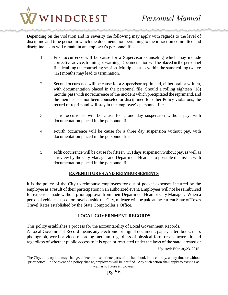

Depending on the violation and its severity the following may apply with regards to the level of discipline and time period in which the documentation pertaining to the infraction committed and discipline taken will remain in an employee's personnel file:

- 1. First occurrence will be cause for a Supervisor counseling which may include corrective advice, training or warning. Documentation will be placed in the personnel file detailing the counseling session. Multiple issues within the same rolling twelve (12) months may lead to termination.
- 2. Second occurrence will be cause for a Supervisor reprimand, either oral or written, with documentation placed in the personnel file. Should a rolling eighteen (18) months pass with no recurrence of the incident which precipitated the reprimand, and the member has not been counseled or disciplined for other Policy violations, the record of reprimand will stay in the employee's personnel file.
- 3. Third occurrence will be cause for a one day suspension without pay, with documentation placed in the personnel file.
- 4. Fourth occurrence will be cause for a three day suspension without pay, with documentation placed in the personnel file.
- 5. Fifth occurrence will be cause for fifteen (15) days suspension without pay, as well as a review by the City Manager and Department Head as to possible dismissal, with documentation placed in the personnel file.

# **EXPENDITURES AND REIMBURSEMENTS**

It is the policy of the City to reimburse employees for out of pocket expenses incurred by the employee as a result of their participation in an authorized event. Employees will not be reimbursed for expenses made without prior approval from their Department Head or City Manager. When a personal vehicle is used for travel outside the City, mileage will be paid at the current State of Texas Travel Rates established by the State Comptroller's Office.

# **LOCAL GOVERNMENT RECORDS**

This policy establishes a process for the accountability of Local Government Records. A Local Government Record means any electronic or digital document, paper, letter, book, map, photograph, word or video recording medium, regardless of physical form or characteristic and regardless of whether public access to it is open or restricted under the laws of the state, created or

Updated: February23, 2015

The City, at its option, may change, delete, or discontinue parts of the handbook in its entirety, at any time or without prior notice. In the event of a policy change, employees will be notified. Any such action shall apply to existing as well as to future employees.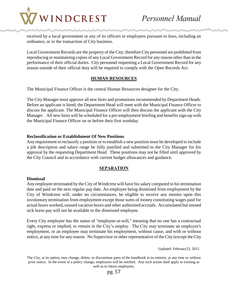

received by a local government or any of its officers or employees pursuant to laws, including an ordinance, or in the transaction of City business.

Local Government Records are the property of the City; therefore City personnel are prohibited from reproducing or maintaining copies of any Local Government Record for any reason other than in the performance of their official duties. City personnel requesting a Local Government Record for any reason outside of their official duty will be required to comply with the Open Records Act.

#### **HUMAN RESOURCES**

The Municipal Finance Officer is the central Human Resources designee for the City.

The City Manager must approve all new hires and promotions recommended by Department Heads. Before an applicant is hired, the Department Head will meet with the Municipal Finance Officer to discuss the applicant. The Municipal Finance Officer will then discuss the applicant with the City Manager. All new hires will be scheduled for a pre-employment briefing and benefits sign-up with the Municipal Finance Officer on or before their first workday.

#### **Reclassification or Establishment Of New Positions**

Any requirement to reclassify a position or to establish a new position must be developed to include a job description and salary range be fully justified and submitted to the City Manager for his approval by the requesting Department Head. These positions may not be filled until approved by the City Council and in accordance with current budget allowances and guidance.

#### **SEPARATION**

#### **Dismissal**

Any employee terminated by the City of Windcrest will have his salary computed to his termination date and paid on the next regular pay date. An employee being dismissed from employment by the City of Windcrest will, under no circumstances, be eligible to receive any monies upon this involuntary termination from employment except those sums of money constituting wages paid for actual hours worked**,** unused vacation hours and other authorized accruals. Accumulated but unused sick leave pay will not be available to the dismissed employee.

Every City employee has the status of "employee-at-will," meaning that no one has a contractual right, express or implied, to remain in the City's employ. The City may terminate an employee's employment, or an employee may terminate his employment, without cause, and with or without notice, at any time for any reason. No Supervisor or other representative of the City (except the City

Updated: February23, 2015

The City, at its option, may change, delete, or discontinue parts of the handbook in its entirety, at any time or without prior notice. In the event of a policy change, employees will be notified. Any such action shall apply to existing as well as to future employees.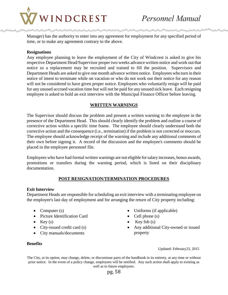

Manager) has the authority to enter into any agreement for employment for any specified period of time, or to make any agreement contrary to the above.

#### **Resignations**

Any employee planning to leave the employment of the City of Windcrest is asked to give his respective Department Head/Supervisor proper two weeks advance written notice and work out that notice so a replacement may be recruited and trained to fill the position. Supervisors and Department Heads are asked to give one month advance written notice. Employees who turn in their notice of intent to terminate while on vacation or who do not work out their notice for any reason will not be considered to have given proper notice. Employees who voluntarily resign will be paid for any unused accrued vacation time but will not be paid for any unused sick leave. Each resigning employee is asked to hold an exit interview with the Municipal Finance Officer before leaving.

#### **WRITTEN WARNINGS**

The Supervisor should discuss the problem and present a written warning to the employee in the presence of the Department Head. This should clearly identify the problem and outline a course of corrective action within a specific time frame. The employee should clearly understand both the corrective action and the consequence (i.e., termination) if the problem is not corrected or reoccurs. The employee should acknowledge receipt of the warning and include any additional comments of their own before signing it. A record of the discussion and the employee's comments should be placed in the employee personnel file.

Employees who have had formal written warnings are not eligible for salary increases, bonus awards, promotions or transfers during the warning period, which is listed on their disciplinary documentation.

#### **POST RESIGNATION/TERMINATION PROCEDURES**

#### **Exit Interview**

Department Heads are responsible for scheduling an exit interview with a terminating employee on the employee's last day of employment and for arranging the return of City property including:

- Computer  $(s)$
- Picture Identification Card
- $\bullet$  Key (s)
- City-issued credit card (s)
- City manuals/documents
- Uniforms (if applicable)
- $\bullet$  Cell phone (s)
- $\bullet$  Key fob (s)
- Any additional City-owned or issued property

**Benefits**

Updated: February23, 2015

The City, at its option, may change, delete, or discontinue parts of the handbook in its entirety, at any time or without prior notice. In the event of a policy change, employees will be notified. Any such action shall apply to existing as well as to future employees.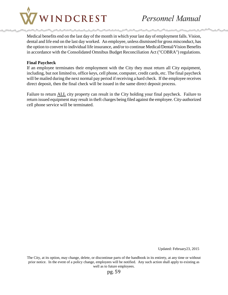

Medical benefits end on the last day of the month in which your last day of employment falls. Vision, dental and life end on the last day worked. An employee, unless dismissed for gross misconduct, has the option to convert to individual life insurance, and/or to continue Medical/Dental/Vision Benefits in accordance with the Consolidated Omnibus Budget Reconciliation Act ("COBRA") regulations.

#### **Final Paycheck**

If an employee terminates their employment with the City they must return all City equipment, including, but not limited to, office keys, cell phone, computer, credit cards, etc. The final paycheck will be mailed during the next normal pay period if receiving a hard check. If the employee receives direct deposit, then the final check will be issued in the same direct deposit process.

Failure to return **ALL** city property can result in the City holding your final paycheck. Failure to return issued equipment may result in theft charges being filed against the employee. City-authorized cell phone service will be terminated.

Updated: February23, 2015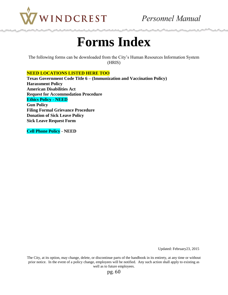

# **Forms Index**

The following forms can be downloaded from the City's Human Resources Information System (HRIS)

#### **NEED LOCATIONS LISTED HERE TOO**

**Texas Government Code Title 6 – (Immunization and Vaccination Policy) Harassment Policy American Disabilities Act Request for Accommodation Procedure Ethics Policy - NEED Gun Policy Filing Formal Grievance Procedure Donation of Sick Leave Policy Sick Leave Request Form**

**Cell Phone Policy - NEED**

Updated: February23, 2015

The City, at its option, may change, delete, or discontinue parts of the handbook in its entirety, at any time or without prior notice. In the event of a policy change, employees will be notified. Any such action shall apply to existing as well as to future employees.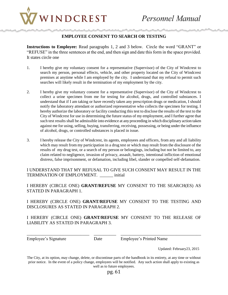# WINDCREST

# **EMPLOYEE CONSENT TO SEARCH OR TESTING**

**Instructions to Employee:** Read paragraphs 1, 2 and 3 below. Circle the word "GRANT" or "REFUSE" in the three sentences at the end, and then sign and date this form in the space provided. It states circle one

- 1. I hereby give my voluntary consent for a representative (Supervisor) of the City of Windcrest to search my person, personal effects, vehicle, and other property located on the City of Windcrest premises at anytime while I am employed by the city. I understand that my refusal to permit such searches will likely result in the termination of my employment by the city.
- 2. I hereby give my voluntary consent for a representative (Supervisor) of the City of Windcrest to collect a urine specimen from me for testing for alcohol, drugs, and controlled substances. I understand that if I am taking or have recently taken any prescription drugs or medication, I should notify the laboratory attendant or authorized representative who collects the specimen for testing. I hereby authorize the laboratory or facility conducting this test to disclose the results of the test to the City of Windcrest for use in determining the future status of my employment, and I further agree that such test results shall be admissible into evidence at any proceeding in which disciplinary action taken against me for using, selling, buying, transferring, receiving, possessing, or being under the influence of alcohol, drugs, or controlled substances is placed in issue.
- 3. I hereby release the City of Windcrest, its agents, employees and officers, from any and all liability which may result from my participation in a drug test or which may result from the disclosure of the results of my drug test, or a search of my person or belongings, including but not be limited to, any claim related to negligence, invasion of privacy, assault, battery, intentional infliction of emotional distress, false imprisonment, or defamation, including libel, slander or compelled self-defamation.

I UNDERSTAND THAT MY REFUSAL TO GIVE SUCH CONSENT MAY RESULT IN THE TERMINATION OF EMPLOYMENT. \_\_\_\_\_\_ initial

I HEREBY (CIRCLE ONE) **GRANT/REFUSE** MY CONSENT TO THE SEARCH(ES) AS STATED IN PARAGRAPH 1.

I HEREBY (CIRCLE ONE) **GRANT/REFUSE** MY CONSENT TO THE TESTING AND DISCLOSURES AS STATED IN PARAGRAPH 2.

# I HEREBY (CIRCLE ONE) **GRANT/REFUSE** MY CONSENT TO THE RELEASE OF LIABILITY AS STATED IN PARAGRAPH 3.

\_\_\_\_\_\_\_\_\_\_\_\_\_\_\_\_\_\_\_\_\_\_\_\_\_\_\_\_ \_\_\_\_\_\_\_\_\_\_ \_\_\_\_\_\_\_\_\_\_\_\_\_\_\_\_\_\_\_\_\_\_\_\_\_\_\_\_\_\_\_\_\_\_\_\_

Employee's Signature Date Employee's Printed Name

Updated: February23, 2015

The City, at its option, may change, delete, or discontinue parts of the handbook in its entirety, at any time or without prior notice. In the event of a policy change, employees will be notified. Any such action shall apply to existing as well as to future employees.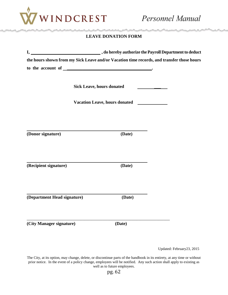

# **LEAVE DONATION FORM**

|                             | the hours shown from my Sick Leave and/or Vacation time records, and transfer those hours |  |  |
|-----------------------------|-------------------------------------------------------------------------------------------|--|--|
|                             |                                                                                           |  |  |
|                             |                                                                                           |  |  |
|                             | <b>Sick Leave, hours donated</b>                                                          |  |  |
|                             |                                                                                           |  |  |
|                             |                                                                                           |  |  |
| (Donor signature)           | (Date)                                                                                    |  |  |
|                             |                                                                                           |  |  |
| (Recipient signature)       | (Date)                                                                                    |  |  |
| (Department Head signature) | (Date)                                                                                    |  |  |
|                             |                                                                                           |  |  |
| (City Manager signature)    | (Date)                                                                                    |  |  |

Updated: February23, 2015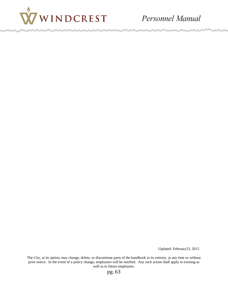

Updated: February23, 2015

The City, at its option, may change, delete, or discontinue parts of the handbook in its entirety, at any time or without prior notice. In the event of a policy change, employees will be notified. Any such action shall apply to existing as well as to future employees.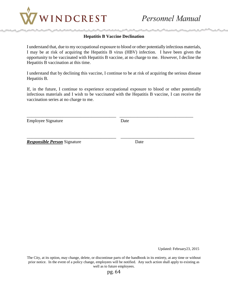

## **Hepatitis B Vaccine Declination**

I understand that, due to my occupational exposure to blood or other potentially infectious materials, I may be at risk of acquiring the Hepatitis B virus (HBV) infection. I have been given the opportunity to be vaccinated with Hepatitis B vaccine, at no charge to me. However, I decline the Hepatitis B vaccination at this time.

I understand that by declining this vaccine, I continue to be at risk of acquiring the serious disease Hepatitis B.

If, in the future, I continue to experience occupational exposure to blood or other potentially infectious materials and I wish to be vaccinated with the Hepatitis B vaccine, I can receive the vaccination series at no charge to me.

\_\_\_\_\_\_\_\_\_\_\_\_\_\_\_\_\_\_\_\_\_\_\_\_\_\_\_\_\_\_\_\_\_\_\_\_\_\_\_\_ \_\_\_\_\_\_\_\_\_\_\_\_\_\_\_\_\_\_\_\_\_\_\_\_\_\_\_\_\_\_\_\_\_

\_\_\_\_\_\_\_\_\_\_\_\_\_\_\_\_\_\_\_\_\_\_\_\_\_\_\_\_\_\_\_\_\_\_\_\_\_\_\_\_ \_\_\_\_\_\_\_\_\_\_\_\_\_\_\_\_\_\_\_\_\_\_\_\_\_\_\_\_\_\_\_\_\_

Employee Signature Date

*Responsible Person* Signature Date

Updated: February23, 2015

The City, at its option, may change, delete, or discontinue parts of the handbook in its entirety, at any time or without prior notice. In the event of a policy change, employees will be notified. Any such action shall apply to existing as well as to future employees.